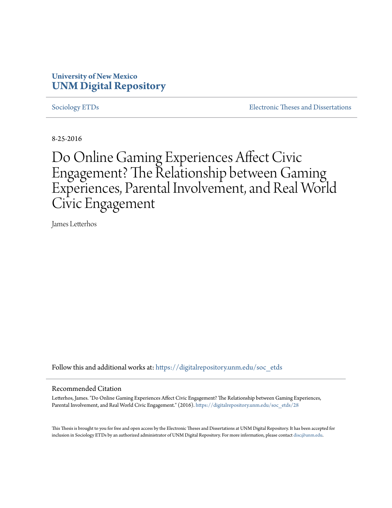### **University of New Mexico [UNM Digital Repository](https://digitalrepository.unm.edu?utm_source=digitalrepository.unm.edu%2Fsoc_etds%2F28&utm_medium=PDF&utm_campaign=PDFCoverPages)**

[Sociology ETDs](https://digitalrepository.unm.edu/soc_etds?utm_source=digitalrepository.unm.edu%2Fsoc_etds%2F28&utm_medium=PDF&utm_campaign=PDFCoverPages) [Electronic Theses and Dissertations](https://digitalrepository.unm.edu/etds?utm_source=digitalrepository.unm.edu%2Fsoc_etds%2F28&utm_medium=PDF&utm_campaign=PDFCoverPages)

8-25-2016

# Do Online Gaming Experiences Affect Civic Engagement? The Relationship between Gaming Experiences, Parental Involvement, and Real World Civic Engagement

James Letterhos

Follow this and additional works at: [https://digitalrepository.unm.edu/soc\\_etds](https://digitalrepository.unm.edu/soc_etds?utm_source=digitalrepository.unm.edu%2Fsoc_etds%2F28&utm_medium=PDF&utm_campaign=PDFCoverPages)

#### Recommended Citation

Letterhos, James. "Do Online Gaming Experiences Affect Civic Engagement? The Relationship between Gaming Experiences, Parental Involvement, and Real World Civic Engagement." (2016). [https://digitalrepository.unm.edu/soc\\_etds/28](https://digitalrepository.unm.edu/soc_etds/28?utm_source=digitalrepository.unm.edu%2Fsoc_etds%2F28&utm_medium=PDF&utm_campaign=PDFCoverPages)

This Thesis is brought to you for free and open access by the Electronic Theses and Dissertations at UNM Digital Repository. It has been accepted for inclusion in Sociology ETDs by an authorized administrator of UNM Digital Repository. For more information, please contact [disc@unm.edu.](mailto:disc@unm.edu)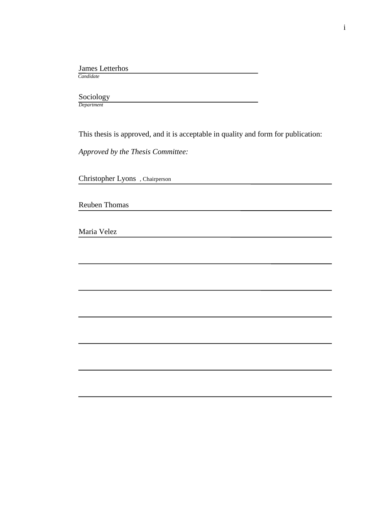#### James Letterhos

 *Candidate*

### Sociology

*Department*

This thesis is approved, and it is acceptable in quality and form for publication:

*Approved by the Thesis Committee:*

Christopher Lyons , Chairperson

Reuben Thomas

Maria Velez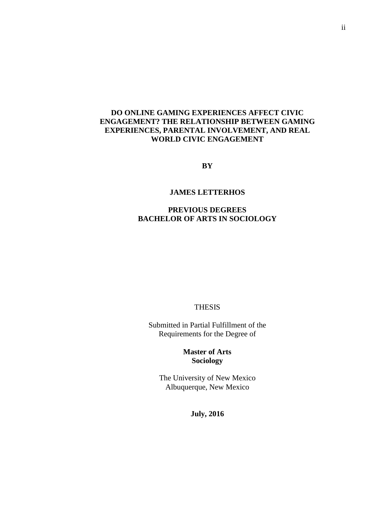### **DO ONLINE GAMING EXPERIENCES AFFECT CIVIC ENGAGEMENT? THE RELATIONSHIP BETWEEN GAMING EXPERIENCES, PARENTAL INVOLVEMENT, AND REAL WORLD CIVIC ENGAGEMENT**

**BY**

#### **JAMES LETTERHOS**

#### **PREVIOUS DEGREES BACHELOR OF ARTS IN SOCIOLOGY**

#### THESIS

Submitted in Partial Fulfillment of the Requirements for the Degree of

> **Master of Arts Sociology**

The University of New Mexico Albuquerque, New Mexico

**July, 2016**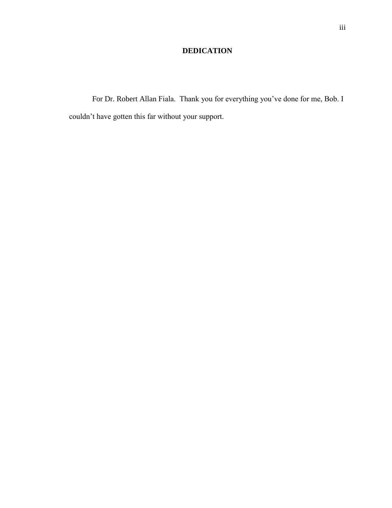### **DEDICATION**

For Dr. Robert Allan Fiala. Thank you for everything you've done for me, Bob. I couldn't have gotten this far without your support.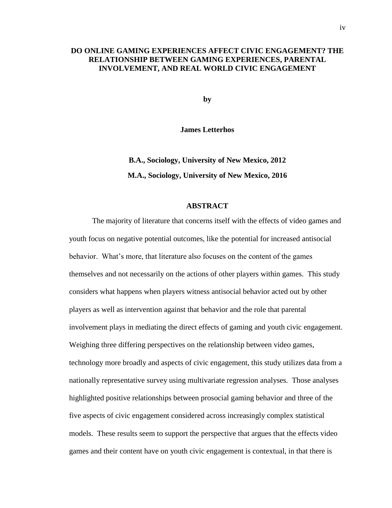#### **DO ONLINE GAMING EXPERIENCES AFFECT CIVIC ENGAGEMENT? THE RELATIONSHIP BETWEEN GAMING EXPERIENCES, PARENTAL INVOLVEMENT, AND REAL WORLD CIVIC ENGAGEMENT**

**by**

**James Letterhos**

**B.A., Sociology, University of New Mexico, 2012 M.A., Sociology, University of New Mexico, 2016**

#### **ABSTRACT**

The majority of literature that concerns itself with the effects of video games and youth focus on negative potential outcomes, like the potential for increased antisocial behavior. What's more, that literature also focuses on the content of the games themselves and not necessarily on the actions of other players within games. This study considers what happens when players witness antisocial behavior acted out by other players as well as intervention against that behavior and the role that parental involvement plays in mediating the direct effects of gaming and youth civic engagement. Weighing three differing perspectives on the relationship between video games, technology more broadly and aspects of civic engagement, this study utilizes data from a nationally representative survey using multivariate regression analyses. Those analyses highlighted positive relationships between prosocial gaming behavior and three of the five aspects of civic engagement considered across increasingly complex statistical models. These results seem to support the perspective that argues that the effects video games and their content have on youth civic engagement is contextual, in that there is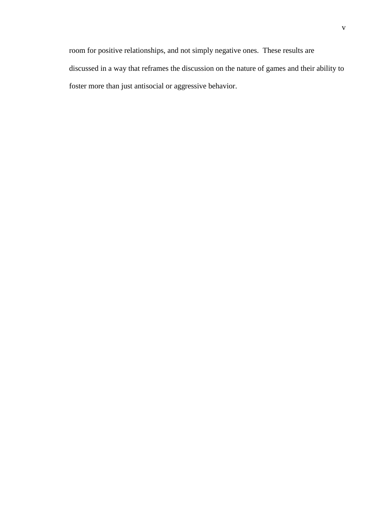room for positive relationships, and not simply negative ones. These results are discussed in a way that reframes the discussion on the nature of games and their ability to foster more than just antisocial or aggressive behavior.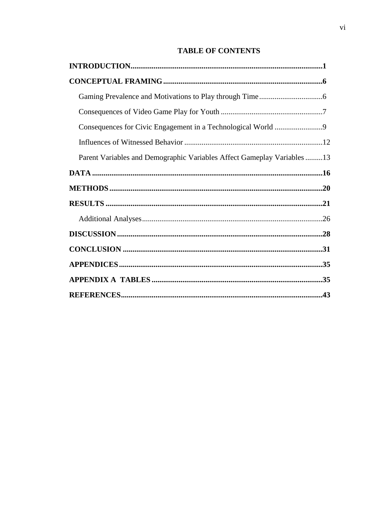### **TABLE OF CONTENTS**

| Parent Variables and Demographic Variables Affect Gameplay Variables 13 |  |
|-------------------------------------------------------------------------|--|
|                                                                         |  |
|                                                                         |  |
|                                                                         |  |
|                                                                         |  |
|                                                                         |  |
|                                                                         |  |
|                                                                         |  |
|                                                                         |  |
|                                                                         |  |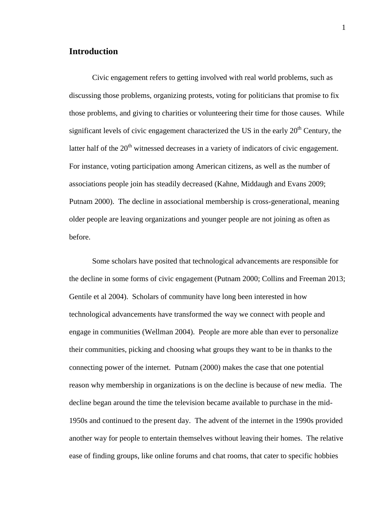### **Introduction**

Civic engagement refers to getting involved with real world problems, such as discussing those problems, organizing protests, voting for politicians that promise to fix those problems, and giving to charities or volunteering their time for those causes. While significant levels of civic engagement characterized the US in the early  $20<sup>th</sup>$  Century, the latter half of the 20<sup>th</sup> witnessed decreases in a variety of indicators of civic engagement. For instance, voting participation among American citizens, as well as the number of associations people join has steadily decreased (Kahne, Middaugh and Evans 2009; Putnam 2000). The decline in associational membership is cross-generational, meaning older people are leaving organizations and younger people are not joining as often as before.

Some scholars have posited that technological advancements are responsible for the decline in some forms of civic engagement (Putnam 2000; Collins and Freeman 2013; Gentile et al 2004). Scholars of community have long been interested in how technological advancements have transformed the way we connect with people and engage in communities (Wellman 2004). People are more able than ever to personalize their communities, picking and choosing what groups they want to be in thanks to the connecting power of the internet. Putnam (2000) makes the case that one potential reason why membership in organizations is on the decline is because of new media. The decline began around the time the television became available to purchase in the mid-1950s and continued to the present day. The advent of the internet in the 1990s provided another way for people to entertain themselves without leaving their homes. The relative ease of finding groups, like online forums and chat rooms, that cater to specific hobbies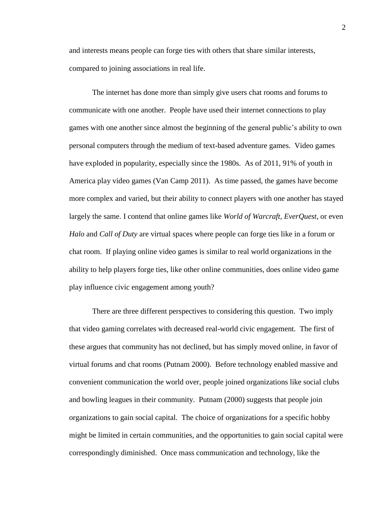and interests means people can forge ties with others that share similar interests, compared to joining associations in real life.

The internet has done more than simply give users chat rooms and forums to communicate with one another. People have used their internet connections to play games with one another since almost the beginning of the general public's ability to own personal computers through the medium of text-based adventure games. Video games have exploded in popularity, especially since the 1980s. As of 2011, 91% of youth in America play video games (Van Camp 2011). As time passed, the games have become more complex and varied, but their ability to connect players with one another has stayed largely the same. I contend that online games like *World of Warcraft*, *EverQuest*, or even *Halo* and *Call of Duty* are virtual spaces where people can forge ties like in a forum or chat room. If playing online video games is similar to real world organizations in the ability to help players forge ties, like other online communities, does online video game play influence civic engagement among youth?

There are three different perspectives to considering this question. Two imply that video gaming correlates with decreased real-world civic engagement. The first of these argues that community has not declined, but has simply moved online, in favor of virtual forums and chat rooms (Putnam 2000). Before technology enabled massive and convenient communication the world over, people joined organizations like social clubs and bowling leagues in their community. Putnam (2000) suggests that people join organizations to gain social capital. The choice of organizations for a specific hobby might be limited in certain communities, and the opportunities to gain social capital were correspondingly diminished. Once mass communication and technology, like the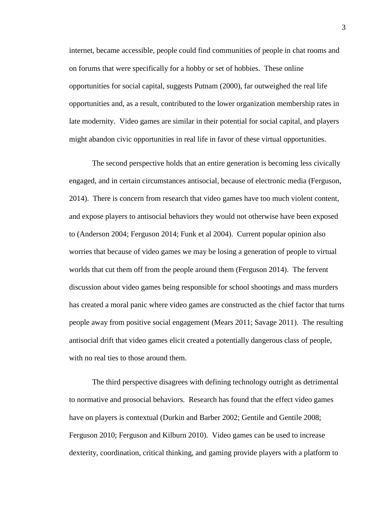internet, became accessible, people could find communities of people in chat rooms and on forums that were specifically for a hobby or set of hobbies. These online opportunities for social capital, suggests Putnam (2000), far outweighed the real life opportunities and, as a result, contributed to the lower organization membership rates in late modernity. Video games are similar in their potential for social capital, and players might abandon civic opportunities in real life in favor of these virtual opportunities.

The second perspective holds that an entire generation is becoming less civically engaged, and in certain circumstances antisocial, because of electronic media (Ferguson, 2014). There is concern from research that video games have too much violent content, and expose players to antisocial behaviors they would not otherwise have been exposed to (Anderson 2004; Ferguson 2014; Funk et al 2004). Current popular opinion also worries that because of video games we may be losing a generation of people to virtual worlds that cut them off from the people around them (Ferguson 2014). The fervent discussion about video games being responsible for school shootings and mass murders has created a moral panic where video games are constructed as the chief factor that turns people away from positive social engagement (Mears 2011; Savage 2011). The resulting antisocial drift that video games elicit created a potentially dangerous class of people, with no real ties to those around them.

The third perspective disagrees with defining technology outright as detrimental to normative and prosocial behaviors. Research has found that the effect video games have on players is contextual (Durkin and Barber 2002; Gentile and Gentile 2008; Ferguson 2010; Ferguson and Kilburn 2010). Video games can be used to increase dexterity, coordination, critical thinking, and gaming provide players with a platform to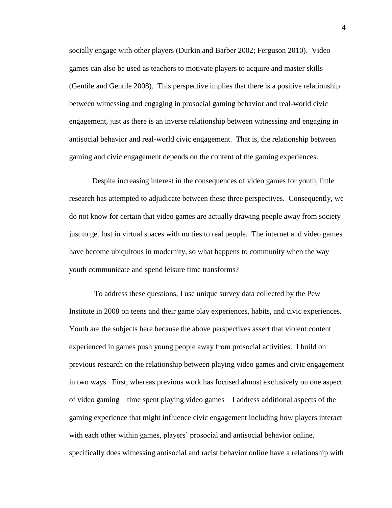socially engage with other players (Durkin and Barber 2002; Ferguson 2010). Video games can also be used as teachers to motivate players to acquire and master skills (Gentile and Gentile 2008). This perspective implies that there is a positive relationship between witnessing and engaging in prosocial gaming behavior and real-world civic engagement, just as there is an inverse relationship between witnessing and engaging in antisocial behavior and real-world civic engagement. That is, the relationship between gaming and civic engagement depends on the content of the gaming experiences.

Despite increasing interest in the consequences of video games for youth, little research has attempted to adjudicate between these three perspectives. Consequently, we do not know for certain that video games are actually drawing people away from society just to get lost in virtual spaces with no ties to real people. The internet and video games have become ubiquitous in modernity, so what happens to community when the way youth communicate and spend leisure time transforms?

To address these questions, I use unique survey data collected by the Pew Institute in 2008 on teens and their game play experiences, habits, and civic experiences. Youth are the subjects here because the above perspectives assert that violent content experienced in games push young people away from prosocial activities. I build on previous research on the relationship between playing video games and civic engagement in two ways. First, whereas previous work has focused almost exclusively on one aspect of video gaming—time spent playing video games—I address additional aspects of the gaming experience that might influence civic engagement including how players interact with each other within games, players' prosocial and antisocial behavior online, specifically does witnessing antisocial and racist behavior online have a relationship with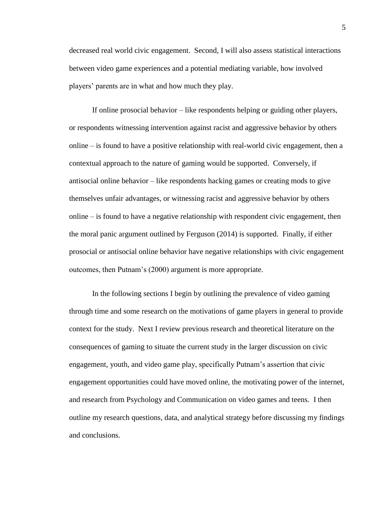decreased real world civic engagement. Second, I will also assess statistical interactions between video game experiences and a potential mediating variable, how involved players' parents are in what and how much they play.

If online prosocial behavior – like respondents helping or guiding other players, or respondents witnessing intervention against racist and aggressive behavior by others online – is found to have a positive relationship with real-world civic engagement, then a contextual approach to the nature of gaming would be supported. Conversely, if antisocial online behavior – like respondents hacking games or creating mods to give themselves unfair advantages, or witnessing racist and aggressive behavior by others online – is found to have a negative relationship with respondent civic engagement, then the moral panic argument outlined by Ferguson (2014) is supported. Finally, if either prosocial or antisocial online behavior have negative relationships with civic engagement outcomes, then Putnam's (2000) argument is more appropriate.

In the following sections I begin by outlining the prevalence of video gaming through time and some research on the motivations of game players in general to provide context for the study. Next I review previous research and theoretical literature on the consequences of gaming to situate the current study in the larger discussion on civic engagement, youth, and video game play, specifically Putnam's assertion that civic engagement opportunities could have moved online, the motivating power of the internet, and research from Psychology and Communication on video games and teens. I then outline my research questions, data, and analytical strategy before discussing my findings and conclusions.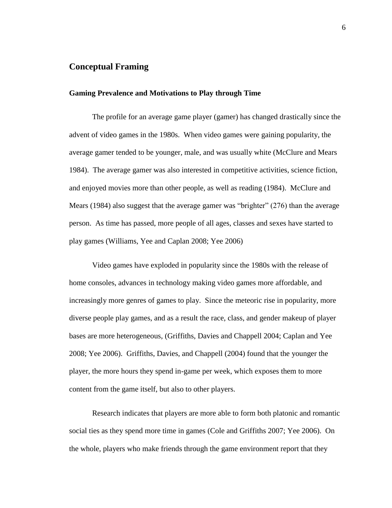#### **Conceptual Framing**

#### **Gaming Prevalence and Motivations to Play through Time**

The profile for an average game player (gamer) has changed drastically since the advent of video games in the 1980s. When video games were gaining popularity, the average gamer tended to be younger, male, and was usually white (McClure and Mears 1984). The average gamer was also interested in competitive activities, science fiction, and enjoyed movies more than other people, as well as reading (1984). McClure and Mears (1984) also suggest that the average gamer was "brighter" (276) than the average person. As time has passed, more people of all ages, classes and sexes have started to play games (Williams, Yee and Caplan 2008; Yee 2006)

Video games have exploded in popularity since the 1980s with the release of home consoles, advances in technology making video games more affordable, and increasingly more genres of games to play. Since the meteoric rise in popularity, more diverse people play games, and as a result the race, class, and gender makeup of player bases are more heterogeneous, (Griffiths, Davies and Chappell 2004; Caplan and Yee 2008; Yee 2006). Griffiths, Davies, and Chappell (2004) found that the younger the player, the more hours they spend in-game per week, which exposes them to more content from the game itself, but also to other players.

Research indicates that players are more able to form both platonic and romantic social ties as they spend more time in games (Cole and Griffiths 2007; Yee 2006). On the whole, players who make friends through the game environment report that they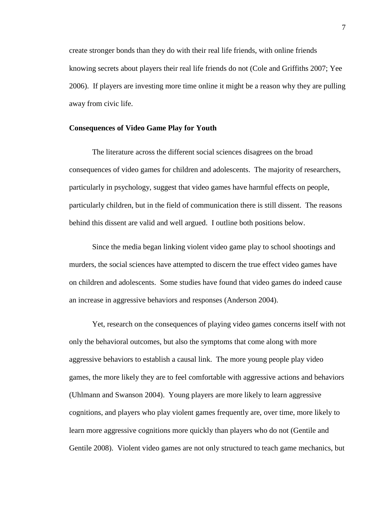create stronger bonds than they do with their real life friends, with online friends knowing secrets about players their real life friends do not (Cole and Griffiths 2007; Yee 2006). If players are investing more time online it might be a reason why they are pulling away from civic life.

#### **Consequences of Video Game Play for Youth**

The literature across the different social sciences disagrees on the broad consequences of video games for children and adolescents. The majority of researchers, particularly in psychology, suggest that video games have harmful effects on people, particularly children, but in the field of communication there is still dissent. The reasons behind this dissent are valid and well argued. I outline both positions below.

Since the media began linking violent video game play to school shootings and murders, the social sciences have attempted to discern the true effect video games have on children and adolescents. Some studies have found that video games do indeed cause an increase in aggressive behaviors and responses (Anderson 2004).

Yet, research on the consequences of playing video games concerns itself with not only the behavioral outcomes, but also the symptoms that come along with more aggressive behaviors to establish a causal link. The more young people play video games, the more likely they are to feel comfortable with aggressive actions and behaviors (Uhlmann and Swanson 2004). Young players are more likely to learn aggressive cognitions, and players who play violent games frequently are, over time, more likely to learn more aggressive cognitions more quickly than players who do not (Gentile and Gentile 2008). Violent video games are not only structured to teach game mechanics, but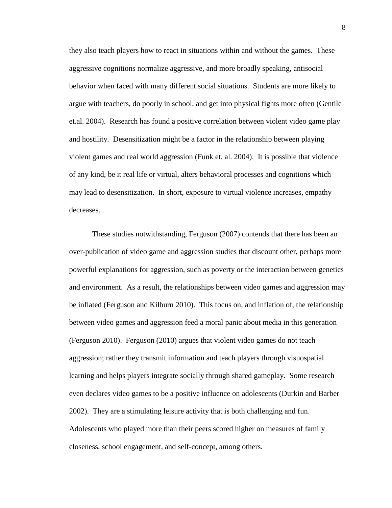they also teach players how to react in situations within and without the games. These aggressive cognitions normalize aggressive, and more broadly speaking, antisocial behavior when faced with many different social situations. Students are more likely to argue with teachers, do poorly in school, and get into physical fights more often (Gentile et.al. 2004). Research has found a positive correlation between violent video game play and hostility. Desensitization might be a factor in the relationship between playing violent games and real world aggression (Funk et. al. 2004). It is possible that violence of any kind, be it real life or virtual, alters behavioral processes and cognitions which may lead to desensitization. In short, exposure to virtual violence increases, empathy decreases.

These studies notwithstanding, Ferguson (2007) contends that there has been an over-publication of video game and aggression studies that discount other, perhaps more powerful explanations for aggression, such as poverty or the interaction between genetics and environment. As a result, the relationships between video games and aggression may be inflated (Ferguson and Kilburn 2010). This focus on, and inflation of, the relationship between video games and aggression feed a moral panic about media in this generation (Ferguson 2010). Ferguson (2010) argues that violent video games do not teach aggression; rather they transmit information and teach players through visuospatial learning and helps players integrate socially through shared gameplay. Some research even declares video games to be a positive influence on adolescents (Durkin and Barber 2002). They are a stimulating leisure activity that is both challenging and fun. Adolescents who played more than their peers scored higher on measures of family closeness, school engagement, and self-concept, among others.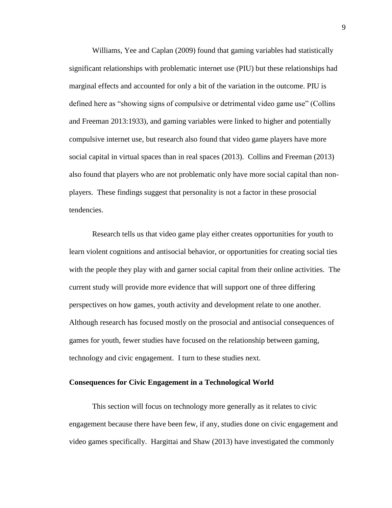Williams, Yee and Caplan (2009) found that gaming variables had statistically significant relationships with problematic internet use (PIU) but these relationships had marginal effects and accounted for only a bit of the variation in the outcome. PIU is defined here as "showing signs of compulsive or detrimental video game use" (Collins and Freeman 2013:1933), and gaming variables were linked to higher and potentially compulsive internet use, but research also found that video game players have more social capital in virtual spaces than in real spaces (2013). Collins and Freeman (2013) also found that players who are not problematic only have more social capital than nonplayers. These findings suggest that personality is not a factor in these prosocial tendencies.

Research tells us that video game play either creates opportunities for youth to learn violent cognitions and antisocial behavior, or opportunities for creating social ties with the people they play with and garner social capital from their online activities. The current study will provide more evidence that will support one of three differing perspectives on how games, youth activity and development relate to one another. Although research has focused mostly on the prosocial and antisocial consequences of games for youth, fewer studies have focused on the relationship between gaming, technology and civic engagement. I turn to these studies next.

#### **Consequences for Civic Engagement in a Technological World**

This section will focus on technology more generally as it relates to civic engagement because there have been few, if any, studies done on civic engagement and video games specifically. Hargittai and Shaw (2013) have investigated the commonly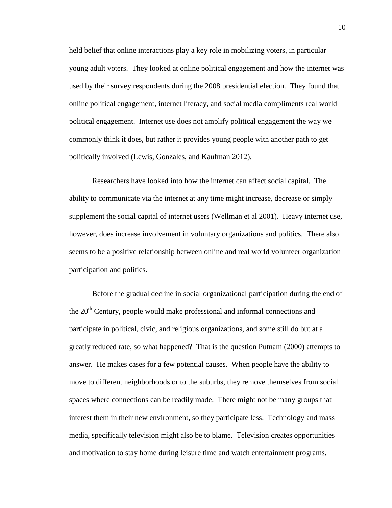held belief that online interactions play a key role in mobilizing voters, in particular young adult voters. They looked at online political engagement and how the internet was used by their survey respondents during the 2008 presidential election. They found that online political engagement, internet literacy, and social media compliments real world political engagement. Internet use does not amplify political engagement the way we commonly think it does, but rather it provides young people with another path to get politically involved (Lewis, Gonzales, and Kaufman 2012).

Researchers have looked into how the internet can affect social capital. The ability to communicate via the internet at any time might increase, decrease or simply supplement the social capital of internet users (Wellman et al 2001). Heavy internet use, however, does increase involvement in voluntary organizations and politics. There also seems to be a positive relationship between online and real world volunteer organization participation and politics.

Before the gradual decline in social organizational participation during the end of the  $20<sup>th</sup>$  Century, people would make professional and informal connections and participate in political, civic, and religious organizations, and some still do but at a greatly reduced rate, so what happened? That is the question Putnam (2000) attempts to answer. He makes cases for a few potential causes. When people have the ability to move to different neighborhoods or to the suburbs, they remove themselves from social spaces where connections can be readily made. There might not be many groups that interest them in their new environment, so they participate less. Technology and mass media, specifically television might also be to blame. Television creates opportunities and motivation to stay home during leisure time and watch entertainment programs.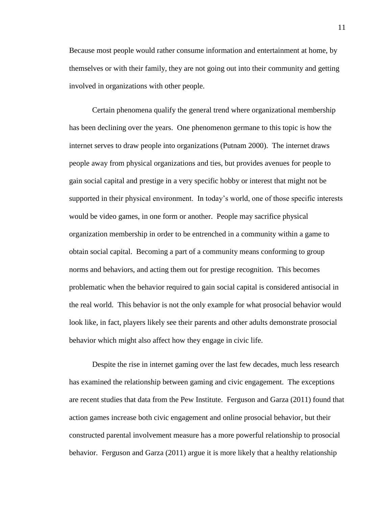Because most people would rather consume information and entertainment at home, by themselves or with their family, they are not going out into their community and getting involved in organizations with other people.

Certain phenomena qualify the general trend where organizational membership has been declining over the years. One phenomenon germane to this topic is how the internet serves to draw people into organizations (Putnam 2000). The internet draws people away from physical organizations and ties, but provides avenues for people to gain social capital and prestige in a very specific hobby or interest that might not be supported in their physical environment. In today's world, one of those specific interests would be video games, in one form or another. People may sacrifice physical organization membership in order to be entrenched in a community within a game to obtain social capital. Becoming a part of a community means conforming to group norms and behaviors, and acting them out for prestige recognition. This becomes problematic when the behavior required to gain social capital is considered antisocial in the real world. This behavior is not the only example for what prosocial behavior would look like, in fact, players likely see their parents and other adults demonstrate prosocial behavior which might also affect how they engage in civic life.

Despite the rise in internet gaming over the last few decades, much less research has examined the relationship between gaming and civic engagement. The exceptions are recent studies that data from the Pew Institute. Ferguson and Garza (2011) found that action games increase both civic engagement and online prosocial behavior, but their constructed parental involvement measure has a more powerful relationship to prosocial behavior. Ferguson and Garza (2011) argue it is more likely that a healthy relationship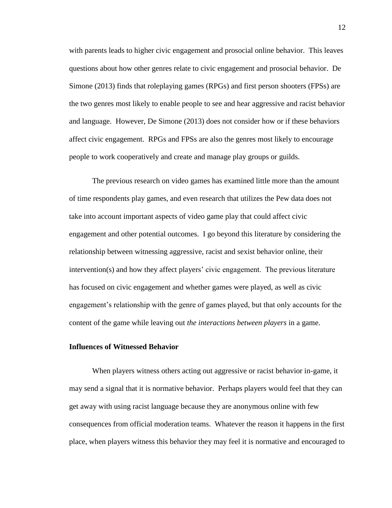with parents leads to higher civic engagement and prosocial online behavior. This leaves questions about how other genres relate to civic engagement and prosocial behavior. De Simone (2013) finds that roleplaying games (RPGs) and first person shooters (FPSs) are the two genres most likely to enable people to see and hear aggressive and racist behavior and language. However, De Simone (2013) does not consider how or if these behaviors affect civic engagement. RPGs and FPSs are also the genres most likely to encourage people to work cooperatively and create and manage play groups or guilds.

The previous research on video games has examined little more than the amount of time respondents play games, and even research that utilizes the Pew data does not take into account important aspects of video game play that could affect civic engagement and other potential outcomes. I go beyond this literature by considering the relationship between witnessing aggressive, racist and sexist behavior online, their intervention(s) and how they affect players' civic engagement. The previous literature has focused on civic engagement and whether games were played, as well as civic engagement's relationship with the genre of games played, but that only accounts for the content of the game while leaving out *the interactions between players* in a game.

#### **Influences of Witnessed Behavior**

When players witness others acting out aggressive or racist behavior in-game, it may send a signal that it is normative behavior. Perhaps players would feel that they can get away with using racist language because they are anonymous online with few consequences from official moderation teams. Whatever the reason it happens in the first place, when players witness this behavior they may feel it is normative and encouraged to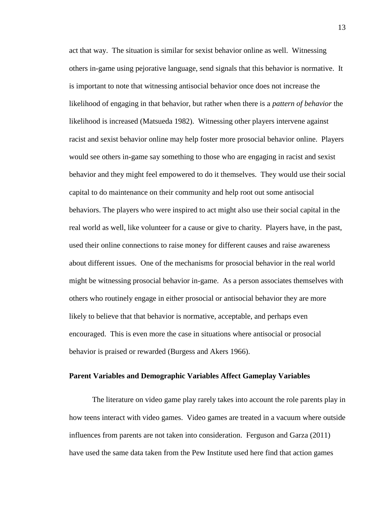act that way. The situation is similar for sexist behavior online as well. Witnessing others in-game using pejorative language, send signals that this behavior is normative. It is important to note that witnessing antisocial behavior once does not increase the likelihood of engaging in that behavior, but rather when there is a *pattern of behavior* the likelihood is increased (Matsueda 1982). Witnessing other players intervene against racist and sexist behavior online may help foster more prosocial behavior online. Players would see others in-game say something to those who are engaging in racist and sexist behavior and they might feel empowered to do it themselves. They would use their social capital to do maintenance on their community and help root out some antisocial behaviors. The players who were inspired to act might also use their social capital in the real world as well, like volunteer for a cause or give to charity. Players have, in the past, used their online connections to raise money for different causes and raise awareness about different issues. One of the mechanisms for prosocial behavior in the real world might be witnessing prosocial behavior in-game. As a person associates themselves with others who routinely engage in either prosocial or antisocial behavior they are more likely to believe that that behavior is normative, acceptable, and perhaps even encouraged. This is even more the case in situations where antisocial or prosocial behavior is praised or rewarded (Burgess and Akers 1966).

#### **Parent Variables and Demographic Variables Affect Gameplay Variables**

The literature on video game play rarely takes into account the role parents play in how teens interact with video games. Video games are treated in a vacuum where outside influences from parents are not taken into consideration. Ferguson and Garza (2011) have used the same data taken from the Pew Institute used here find that action games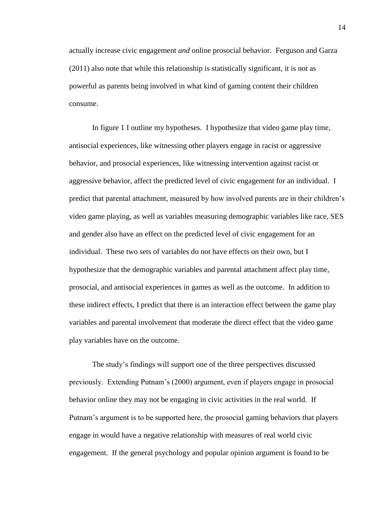actually increase civic engagement *and* online prosocial behavior. Ferguson and Garza (2011) also note that while this relationship is statistically significant, it is not as powerful as parents being involved in what kind of gaming content their children consume.

In figure 1 I outline my hypotheses. I hypothesize that video game play time, antisocial experiences, like witnessing other players engage in racist or aggressive behavior, and prosocial experiences, like witnessing intervention against racist or aggressive behavior, affect the predicted level of civic engagement for an individual. I predict that parental attachment, measured by how involved parents are in their children's video game playing, as well as variables measuring demographic variables like race, SES and gender also have an effect on the predicted level of civic engagement for an individual. These two sets of variables do not have effects on their own, but I hypothesize that the demographic variables and parental attachment affect play time, prosocial, and antisocial experiences in games as well as the outcome. In addition to these indirect effects, I predict that there is an interaction effect between the game play variables and parental involvement that moderate the direct effect that the video game play variables have on the outcome.

The study's findings will support one of the three perspectives discussed previously. Extending Putnam's (2000) argument, even if players engage in prosocial behavior online they may not be engaging in civic activities in the real world. If Putnam's argument is to be supported here, the prosocial gaming behaviors that players engage in would have a negative relationship with measures of real world civic engagement. If the general psychology and popular opinion argument is found to be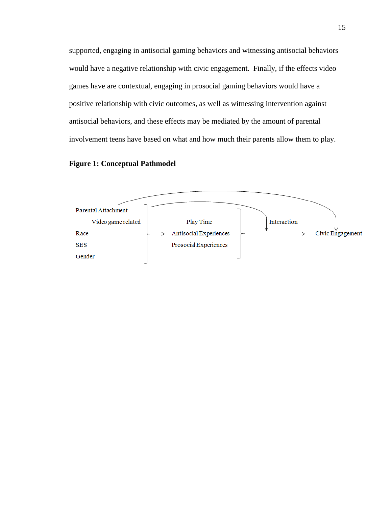supported, engaging in antisocial gaming behaviors and witnessing antisocial behaviors would have a negative relationship with civic engagement. Finally, if the effects video games have are contextual, engaging in prosocial gaming behaviors would have a positive relationship with civic outcomes, as well as witnessing intervention against antisocial behaviors, and these effects may be mediated by the amount of parental involvement teens have based on what and how much their parents allow them to play.

#### **Figure 1: Conceptual Pathmodel**

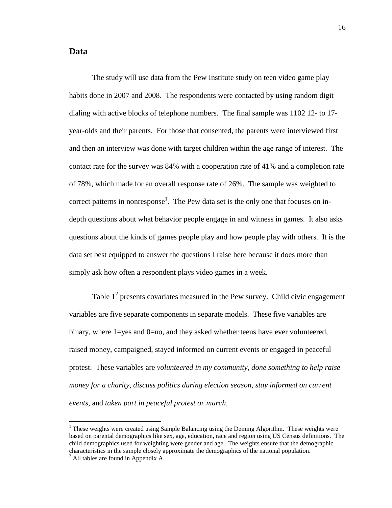#### **Data**

The study will use data from the Pew Institute study on teen video game play habits done in 2007 and 2008. The respondents were contacted by using random digit dialing with active blocks of telephone numbers. The final sample was 1102 12- to 17 year-olds and their parents. For those that consented, the parents were interviewed first and then an interview was done with target children within the age range of interest. The contact rate for the survey was 84% with a cooperation rate of 41% and a completion rate of 78%, which made for an overall response rate of 26%. The sample was weighted to correct patterns in nonresponse<sup>1</sup>. The Pew data set is the only one that focuses on indepth questions about what behavior people engage in and witness in games. It also asks questions about the kinds of games people play and how people play with others. It is the data set best equipped to answer the questions I raise here because it does more than simply ask how often a respondent plays video games in a week.

Table  $1<sup>2</sup>$  presents covariates measured in the Pew survey. Child civic engagement variables are five separate components in separate models. These five variables are binary, where 1=yes and 0=no, and they asked whether teens have ever volunteered, raised money, campaigned, stayed informed on current events or engaged in peaceful protest. These variables are *volunteered in my community*, *done something to help raise money for a charity*, *discuss politics during election season*, *stay informed on current events*, and *taken part in peaceful protest or march*.

 $\overline{a}$ 

 $1$  These weights were created using Sample Balancing using the Deming Algorithm. These weights were based on parental demographics like sex, age, education, race and region using US Census definitions. The child demographics used for weighting were gender and age. The weights ensure that the demographic characteristics in the sample closely approximate the demographics of the national population.

 $^{2}$  All tables are found in Appendix A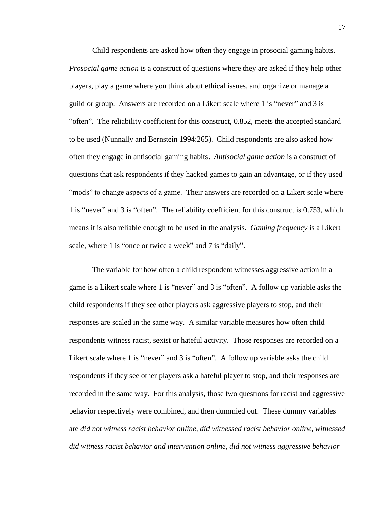Child respondents are asked how often they engage in prosocial gaming habits. *Prosocial game action* is a construct of questions where they are asked if they help other players, play a game where you think about ethical issues, and organize or manage a guild or group. Answers are recorded on a Likert scale where 1 is "never" and 3 is "often". The reliability coefficient for this construct, 0.852, meets the accepted standard to be used (Nunnally and Bernstein 1994:265). Child respondents are also asked how often they engage in antisocial gaming habits. *Antisocial game action* is a construct of questions that ask respondents if they hacked games to gain an advantage, or if they used "mods" to change aspects of a game. Their answers are recorded on a Likert scale where 1 is "never" and 3 is "often". The reliability coefficient for this construct is 0.753, which means it is also reliable enough to be used in the analysis. *Gaming frequency* is a Likert scale, where 1 is "once or twice a week" and 7 is "daily".

The variable for how often a child respondent witnesses aggressive action in a game is a Likert scale where 1 is "never" and 3 is "often". A follow up variable asks the child respondents if they see other players ask aggressive players to stop, and their responses are scaled in the same way. A similar variable measures how often child respondents witness racist, sexist or hateful activity. Those responses are recorded on a Likert scale where 1 is "never" and 3 is "often". A follow up variable asks the child respondents if they see other players ask a hateful player to stop, and their responses are recorded in the same way. For this analysis, those two questions for racist and aggressive behavior respectively were combined, and then dummied out. These dummy variables are *did not witness racist behavior online, did witnessed racist behavior online, witnessed did witness racist behavior and intervention online, did not witness aggressive behavior*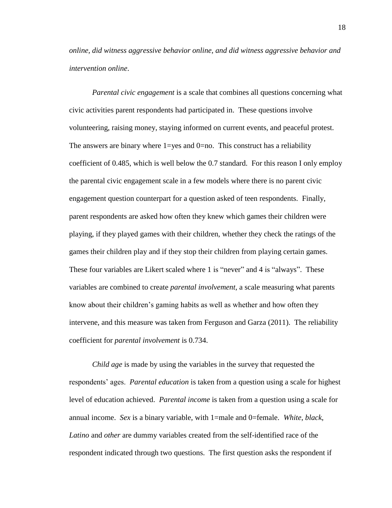*online, did witness aggressive behavior online, and did witness aggressive behavior and intervention online*.

*Parental civic engagement* is a scale that combines all questions concerning what civic activities parent respondents had participated in. These questions involve volunteering, raising money, staying informed on current events, and peaceful protest. The answers are binary where  $1 = yes$  and  $0 = no$ . This construct has a reliability coefficient of 0.485, which is well below the 0.7 standard. For this reason I only employ the parental civic engagement scale in a few models where there is no parent civic engagement question counterpart for a question asked of teen respondents. Finally, parent respondents are asked how often they knew which games their children were playing, if they played games with their children, whether they check the ratings of the games their children play and if they stop their children from playing certain games. These four variables are Likert scaled where 1 is "never" and 4 is "always". These variables are combined to create *parental involvement*, a scale measuring what parents know about their children's gaming habits as well as whether and how often they intervene, and this measure was taken from Ferguson and Garza (2011). The reliability coefficient for *parental involvement* is 0.734.

*Child age* is made by using the variables in the survey that requested the respondents' ages. *Parental education* is taken from a question using a scale for highest level of education achieved. *Parental income* is taken from a question using a scale for annual income. *Sex* is a binary variable, with 1=male and 0=female. *White*, *black*, *Latino* and *other* are dummy variables created from the self-identified race of the respondent indicated through two questions. The first question asks the respondent if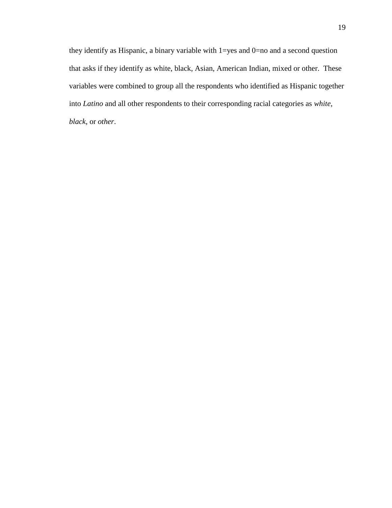they identify as Hispanic, a binary variable with 1=yes and 0=no and a second question that asks if they identify as white, black, Asian, American Indian, mixed or other. These variables were combined to group all the respondents who identified as Hispanic together into *Latino* and all other respondents to their corresponding racial categories as *white*, *black*, or *other*.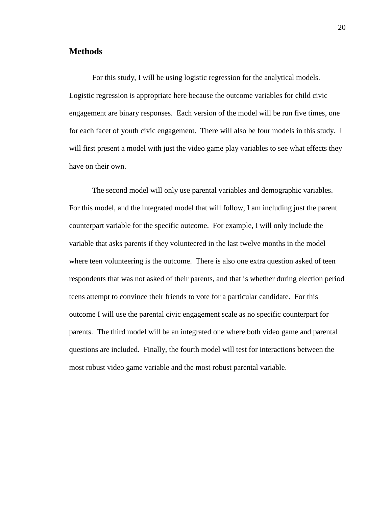#### **Methods**

For this study, I will be using logistic regression for the analytical models. Logistic regression is appropriate here because the outcome variables for child civic engagement are binary responses. Each version of the model will be run five times, one for each facet of youth civic engagement. There will also be four models in this study. I will first present a model with just the video game play variables to see what effects they have on their own.

The second model will only use parental variables and demographic variables. For this model, and the integrated model that will follow, I am including just the parent counterpart variable for the specific outcome. For example, I will only include the variable that asks parents if they volunteered in the last twelve months in the model where teen volunteering is the outcome. There is also one extra question asked of teen respondents that was not asked of their parents, and that is whether during election period teens attempt to convince their friends to vote for a particular candidate. For this outcome I will use the parental civic engagement scale as no specific counterpart for parents. The third model will be an integrated one where both video game and parental questions are included. Finally, the fourth model will test for interactions between the most robust video game variable and the most robust parental variable.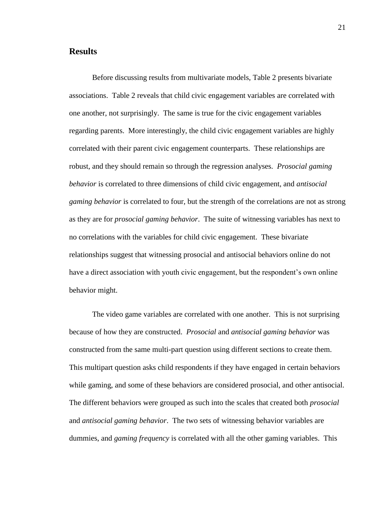#### **Results**

Before discussing results from multivariate models, Table 2 presents bivariate associations. Table 2 reveals that child civic engagement variables are correlated with one another, not surprisingly. The same is true for the civic engagement variables regarding parents. More interestingly, the child civic engagement variables are highly correlated with their parent civic engagement counterparts. These relationships are robust, and they should remain so through the regression analyses. *Prosocial gaming behavior* is correlated to three dimensions of child civic engagement, and *antisocial gaming behavior* is correlated to four, but the strength of the correlations are not as strong as they are for *prosocial gaming behavior*. The suite of witnessing variables has next to no correlations with the variables for child civic engagement. These bivariate relationships suggest that witnessing prosocial and antisocial behaviors online do not have a direct association with youth civic engagement, but the respondent's own online behavior might.

The video game variables are correlated with one another. This is not surprising because of how they are constructed. *Prosocial* and *antisocial gaming behavior* was constructed from the same multi-part question using different sections to create them. This multipart question asks child respondents if they have engaged in certain behaviors while gaming, and some of these behaviors are considered prosocial, and other antisocial. The different behaviors were grouped as such into the scales that created both *prosocial* and *antisocial gaming behavior*. The two sets of witnessing behavior variables are dummies, and *gaming frequency* is correlated with all the other gaming variables. This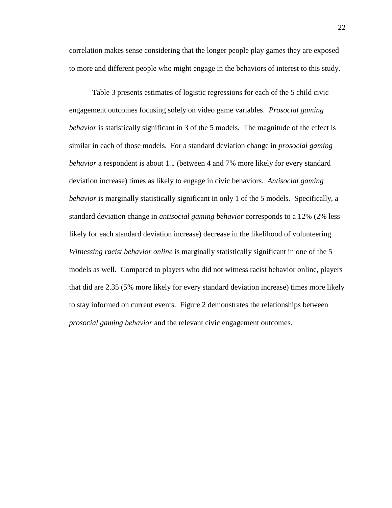correlation makes sense considering that the longer people play games they are exposed to more and different people who might engage in the behaviors of interest to this study.

Table 3 presents estimates of logistic regressions for each of the 5 child civic engagement outcomes focusing solely on video game variables. *Prosocial gaming behavior* is statistically significant in 3 of the 5 models. The magnitude of the effect is similar in each of those models. For a standard deviation change in *prosocial gaming behavior* a respondent is about 1.1 (between 4 and 7% more likely for every standard deviation increase) times as likely to engage in civic behaviors. *Antisocial gaming behavior* is marginally statistically significant in only 1 of the 5 models. Specifically, a standard deviation change in *antisocial gaming behavior* corresponds to a 12% (2% less likely for each standard deviation increase) decrease in the likelihood of volunteering. *Witnessing racist behavior online* is marginally statistically significant in one of the 5 models as well. Compared to players who did not witness racist behavior online, players that did are 2.35 (5% more likely for every standard deviation increase) times more likely to stay informed on current events. Figure 2 demonstrates the relationships between *prosocial gaming behavior* and the relevant civic engagement outcomes.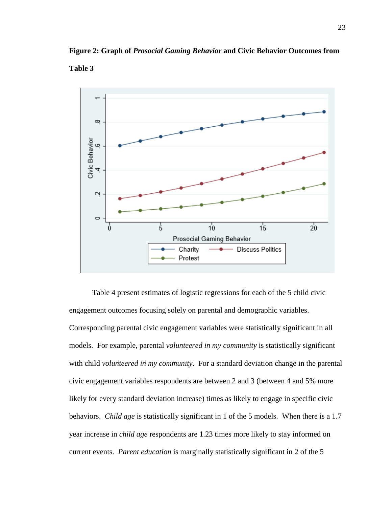

**Figure 2: Graph of** *Prosocial Gaming Behavior* **and Civic Behavior Outcomes from** 

**Table 3**

Table 4 present estimates of logistic regressions for each of the 5 child civic engagement outcomes focusing solely on parental and demographic variables. Corresponding parental civic engagement variables were statistically significant in all models. For example, parental *volunteered in my community* is statistically significant with child *volunteered in my community*. For a standard deviation change in the parental civic engagement variables respondents are between 2 and 3 (between 4 and 5% more likely for every standard deviation increase) times as likely to engage in specific civic behaviors. *Child age* is statistically significant in 1 of the 5 models. When there is a 1.7 year increase in *child age* respondents are 1.23 times more likely to stay informed on current events. *Parent education* is marginally statistically significant in 2 of the 5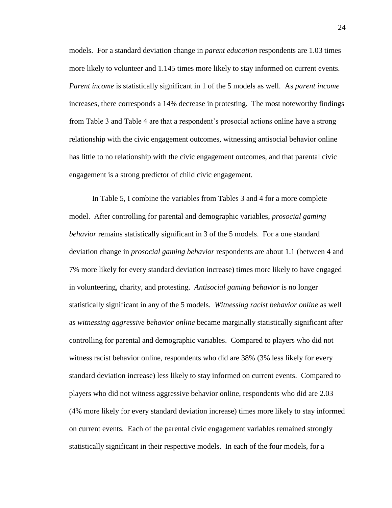models. For a standard deviation change in *parent education* respondents are 1.03 times more likely to volunteer and 1.145 times more likely to stay informed on current events. *Parent income* is statistically significant in 1 of the 5 models as well. As *parent income* increases, there corresponds a 14% decrease in protesting. The most noteworthy findings from Table 3 and Table 4 are that a respondent's prosocial actions online have a strong relationship with the civic engagement outcomes, witnessing antisocial behavior online has little to no relationship with the civic engagement outcomes, and that parental civic engagement is a strong predictor of child civic engagement.

In Table 5, I combine the variables from Tables 3 and 4 for a more complete model. After controlling for parental and demographic variables, *prosocial gaming behavior* remains statistically significant in 3 of the 5 models. For a one standard deviation change in *prosocial gaming behavior* respondents are about 1.1 (between 4 and 7% more likely for every standard deviation increase) times more likely to have engaged in volunteering, charity, and protesting. *Antisocial gaming behavior* is no longer statistically significant in any of the 5 models. *Witnessing racist behavior online* as well as *witnessing aggressive behavior online* became marginally statistically significant after controlling for parental and demographic variables. Compared to players who did not witness racist behavior online, respondents who did are 38% (3% less likely for every standard deviation increase) less likely to stay informed on current events. Compared to players who did not witness aggressive behavior online, respondents who did are 2.03 (4% more likely for every standard deviation increase) times more likely to stay informed on current events. Each of the parental civic engagement variables remained strongly statistically significant in their respective models. In each of the four models, for a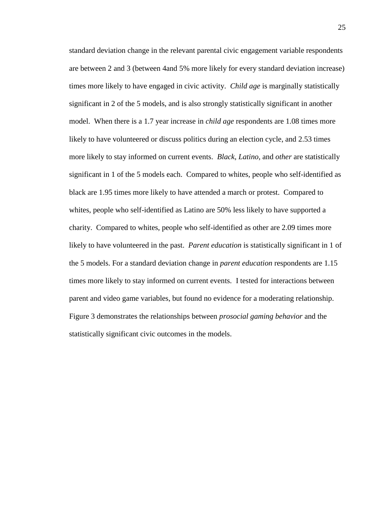standard deviation change in the relevant parental civic engagement variable respondents are between 2 and 3 (between 4and 5% more likely for every standard deviation increase) times more likely to have engaged in civic activity. *Child age* is marginally statistically significant in 2 of the 5 models, and is also strongly statistically significant in another model. When there is a 1.7 year increase in *child age* respondents are 1.08 times more likely to have volunteered or discuss politics during an election cycle, and 2.53 times more likely to stay informed on current events. *Black*, *Latino*, and *other* are statistically significant in 1 of the 5 models each. Compared to whites, people who self-identified as black are 1.95 times more likely to have attended a march or protest. Compared to whites, people who self-identified as Latino are 50% less likely to have supported a charity. Compared to whites, people who self-identified as other are 2.09 times more likely to have volunteered in the past. *Parent education* is statistically significant in 1 of the 5 models. For a standard deviation change in *parent education* respondents are 1.15 times more likely to stay informed on current events. I tested for interactions between parent and video game variables, but found no evidence for a moderating relationship. Figure 3 demonstrates the relationships between *prosocial gaming behavior* and the statistically significant civic outcomes in the models.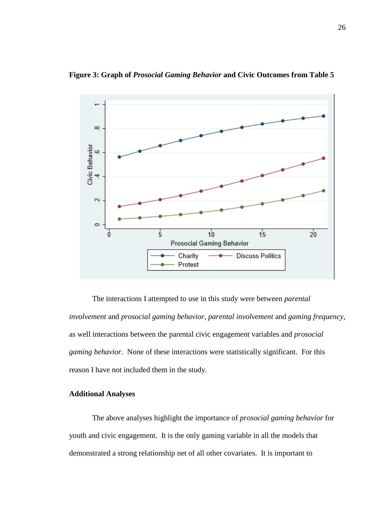

**Figure 3: Graph of** *Prosocial Gaming Behavior* **and Civic Outcomes from Table 5**

The interactions I attempted to use in this study were between *parental involvement* and *prosocial gaming behavior*, *parental involvement* and *gaming frequency*, as well interactions between the parental civic engagement variables and *prosocial gaming behavior*. None of these interactions were statistically significant. For this reason I have not included them in the study.

#### **Additional Analyses**

The above analyses highlight the importance of *prosocial gaming behavior* for youth and civic engagement. It is the only gaming variable in all the models that demonstrated a strong relationship net of all other covariates. It is important to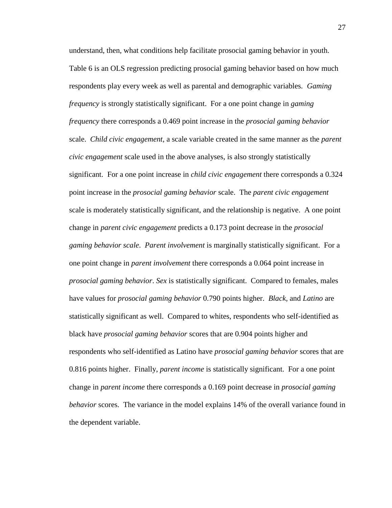understand, then, what conditions help facilitate prosocial gaming behavior in youth. Table 6 is an OLS regression predicting prosocial gaming behavior based on how much respondents play every week as well as parental and demographic variables. *Gaming frequency* is strongly statistically significant. For a one point change in *gaming frequency* there corresponds a 0.469 point increase in the *prosocial gaming behavior* scale. *Child civic engagement*, a scale variable created in the same manner as the *parent civic engagement* scale used in the above analyses, is also strongly statistically significant. For a one point increase in *child civic engagement* there corresponds a 0.324 point increase in the *prosocial gaming behavior* scale. The *parent civic engagement* scale is moderately statistically significant, and the relationship is negative. A one point change in *parent civic engagement* predicts a 0.173 point decrease in the *prosocial gaming behavior scale*. *Parent involvement* is marginally statistically significant. For a one point change in *parent involvement* there corresponds a 0.064 point increase in *prosocial gaming behavior*. *Sex* is statistically significant. Compared to females, males have values for *prosocial gaming behavior* 0.790 points higher. *Black,* and *Latino* are statistically significant as well. Compared to whites, respondents who self-identified as black have *prosocial gaming behavior* scores that are 0.904 points higher and respondents who self-identified as Latino have *prosocial gaming behavior* scores that are 0.816 points higher. Finally, *parent income* is statistically significant. For a one point change in *parent income* there corresponds a 0.169 point decrease in *prosocial gaming behavior* scores. The variance in the model explains 14% of the overall variance found in the dependent variable.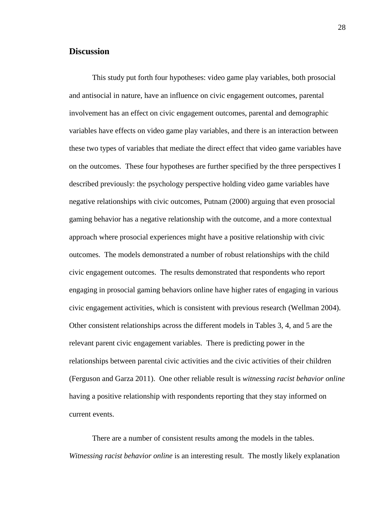### **Discussion**

This study put forth four hypotheses: video game play variables, both prosocial and antisocial in nature, have an influence on civic engagement outcomes, parental involvement has an effect on civic engagement outcomes, parental and demographic variables have effects on video game play variables, and there is an interaction between these two types of variables that mediate the direct effect that video game variables have on the outcomes. These four hypotheses are further specified by the three perspectives I described previously: the psychology perspective holding video game variables have negative relationships with civic outcomes, Putnam (2000) arguing that even prosocial gaming behavior has a negative relationship with the outcome, and a more contextual approach where prosocial experiences might have a positive relationship with civic outcomes. The models demonstrated a number of robust relationships with the child civic engagement outcomes. The results demonstrated that respondents who report engaging in prosocial gaming behaviors online have higher rates of engaging in various civic engagement activities, which is consistent with previous research (Wellman 2004). Other consistent relationships across the different models in Tables 3, 4, and 5 are the relevant parent civic engagement variables. There is predicting power in the relationships between parental civic activities and the civic activities of their children (Ferguson and Garza 2011). One other reliable result is *witnessing racist behavior online* having a positive relationship with respondents reporting that they stay informed on current events.

There are a number of consistent results among the models in the tables. *Witnessing racist behavior online* is an interesting result. The mostly likely explanation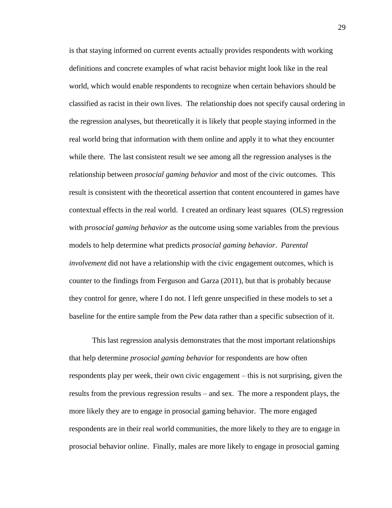is that staying informed on current events actually provides respondents with working definitions and concrete examples of what racist behavior might look like in the real world, which would enable respondents to recognize when certain behaviors should be classified as racist in their own lives. The relationship does not specify causal ordering in the regression analyses, but theoretically it is likely that people staying informed in the real world bring that information with them online and apply it to what they encounter while there. The last consistent result we see among all the regression analyses is the relationship between *prosocial gaming behavior* and most of the civic outcomes. This result is consistent with the theoretical assertion that content encountered in games have contextual effects in the real world. I created an ordinary least squares (OLS) regression with *prosocial gaming behavior* as the outcome using some variables from the previous models to help determine what predicts *prosocial gaming behavior*. *Parental involvement* did not have a relationship with the civic engagement outcomes, which is counter to the findings from Ferguson and Garza (2011), but that is probably because they control for genre, where I do not. I left genre unspecified in these models to set a baseline for the entire sample from the Pew data rather than a specific subsection of it.

This last regression analysis demonstrates that the most important relationships that help determine *prosocial gaming behavior* for respondents are how often respondents play per week, their own civic engagement – this is not surprising, given the results from the previous regression results – and sex. The more a respondent plays, the more likely they are to engage in prosocial gaming behavior. The more engaged respondents are in their real world communities, the more likely to they are to engage in prosocial behavior online. Finally, males are more likely to engage in prosocial gaming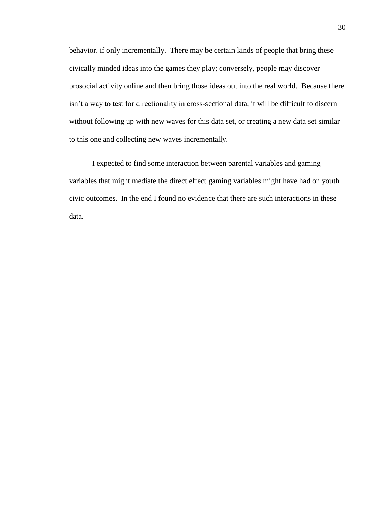behavior, if only incrementally. There may be certain kinds of people that bring these civically minded ideas into the games they play; conversely, people may discover prosocial activity online and then bring those ideas out into the real world. Because there isn't a way to test for directionality in cross-sectional data, it will be difficult to discern without following up with new waves for this data set, or creating a new data set similar to this one and collecting new waves incrementally.

I expected to find some interaction between parental variables and gaming variables that might mediate the direct effect gaming variables might have had on youth civic outcomes. In the end I found no evidence that there are such interactions in these data.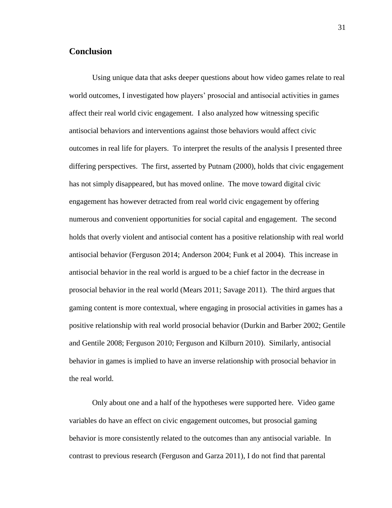### **Conclusion**

Using unique data that asks deeper questions about how video games relate to real world outcomes, I investigated how players' prosocial and antisocial activities in games affect their real world civic engagement. I also analyzed how witnessing specific antisocial behaviors and interventions against those behaviors would affect civic outcomes in real life for players. To interpret the results of the analysis I presented three differing perspectives. The first, asserted by Putnam (2000), holds that civic engagement has not simply disappeared, but has moved online. The move toward digital civic engagement has however detracted from real world civic engagement by offering numerous and convenient opportunities for social capital and engagement. The second holds that overly violent and antisocial content has a positive relationship with real world antisocial behavior (Ferguson 2014; Anderson 2004; Funk et al 2004). This increase in antisocial behavior in the real world is argued to be a chief factor in the decrease in prosocial behavior in the real world (Mears 2011; Savage 2011). The third argues that gaming content is more contextual, where engaging in prosocial activities in games has a positive relationship with real world prosocial behavior (Durkin and Barber 2002; Gentile and Gentile 2008; Ferguson 2010; Ferguson and Kilburn 2010). Similarly, antisocial behavior in games is implied to have an inverse relationship with prosocial behavior in the real world.

Only about one and a half of the hypotheses were supported here. Video game variables do have an effect on civic engagement outcomes, but prosocial gaming behavior is more consistently related to the outcomes than any antisocial variable. In contrast to previous research (Ferguson and Garza 2011), I do not find that parental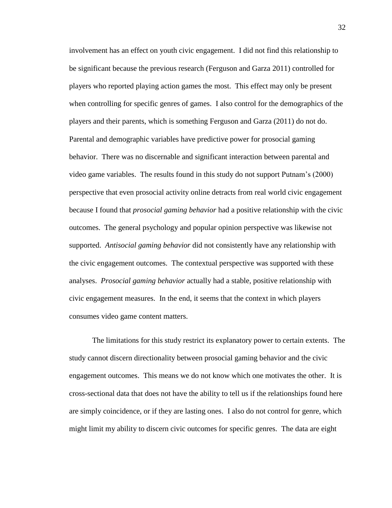involvement has an effect on youth civic engagement. I did not find this relationship to be significant because the previous research (Ferguson and Garza 2011) controlled for players who reported playing action games the most. This effect may only be present when controlling for specific genres of games. I also control for the demographics of the players and their parents, which is something Ferguson and Garza (2011) do not do. Parental and demographic variables have predictive power for prosocial gaming behavior. There was no discernable and significant interaction between parental and video game variables. The results found in this study do not support Putnam's (2000) perspective that even prosocial activity online detracts from real world civic engagement because I found that *prosocial gaming behavior* had a positive relationship with the civic outcomes. The general psychology and popular opinion perspective was likewise not supported. *Antisocial gaming behavior* did not consistently have any relationship with the civic engagement outcomes. The contextual perspective was supported with these analyses. *Prosocial gaming behavior* actually had a stable, positive relationship with civic engagement measures. In the end, it seems that the context in which players consumes video game content matters.

The limitations for this study restrict its explanatory power to certain extents. The study cannot discern directionality between prosocial gaming behavior and the civic engagement outcomes. This means we do not know which one motivates the other. It is cross-sectional data that does not have the ability to tell us if the relationships found here are simply coincidence, or if they are lasting ones. I also do not control for genre, which might limit my ability to discern civic outcomes for specific genres. The data are eight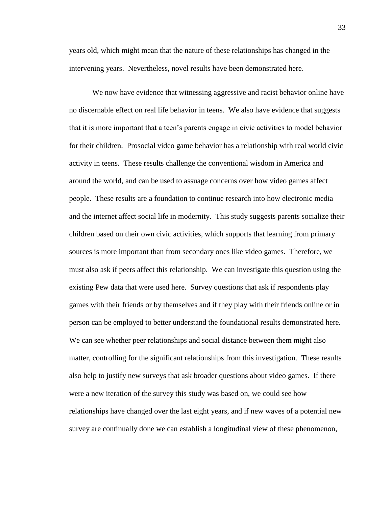years old, which might mean that the nature of these relationships has changed in the intervening years. Nevertheless, novel results have been demonstrated here.

We now have evidence that witnessing aggressive and racist behavior online have no discernable effect on real life behavior in teens. We also have evidence that suggests that it is more important that a teen's parents engage in civic activities to model behavior for their children. Prosocial video game behavior has a relationship with real world civic activity in teens. These results challenge the conventional wisdom in America and around the world, and can be used to assuage concerns over how video games affect people. These results are a foundation to continue research into how electronic media and the internet affect social life in modernity. This study suggests parents socialize their children based on their own civic activities, which supports that learning from primary sources is more important than from secondary ones like video games. Therefore, we must also ask if peers affect this relationship. We can investigate this question using the existing Pew data that were used here. Survey questions that ask if respondents play games with their friends or by themselves and if they play with their friends online or in person can be employed to better understand the foundational results demonstrated here. We can see whether peer relationships and social distance between them might also matter, controlling for the significant relationships from this investigation. These results also help to justify new surveys that ask broader questions about video games. If there were a new iteration of the survey this study was based on, we could see how relationships have changed over the last eight years, and if new waves of a potential new survey are continually done we can establish a longitudinal view of these phenomenon,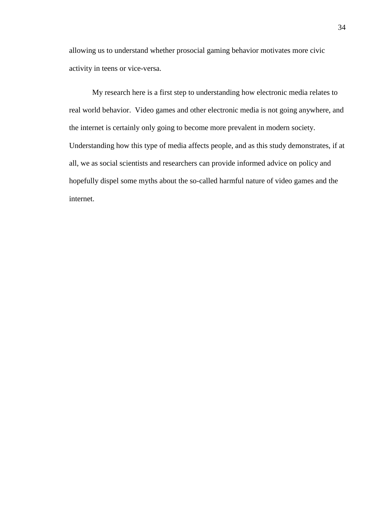allowing us to understand whether prosocial gaming behavior motivates more civic activity in teens or vice-versa.

My research here is a first step to understanding how electronic media relates to real world behavior. Video games and other electronic media is not going anywhere, and the internet is certainly only going to become more prevalent in modern society. Understanding how this type of media affects people, and as this study demonstrates, if at all, we as social scientists and researchers can provide informed advice on policy and hopefully dispel some myths about the so-called harmful nature of video games and the internet.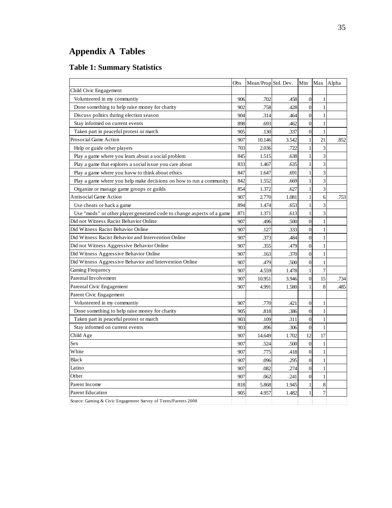## **Appendix A Tables**

### **Table 1: Summary Statistics**

|                                                                       | Obs | Mean/Prop Std. Dev. |       | Min              | Max            | Alpha |
|-----------------------------------------------------------------------|-----|---------------------|-------|------------------|----------------|-------|
| Child Civic Engagement                                                |     |                     |       |                  |                |       |
| Volunteered in my communtiy                                           | 906 | .702                | .458  | $\mathbf{0}$     | 1              |       |
| Done something to help raise money for charity                        | 902 | .758                | .428  | $\overline{0}$   | $\mathbf{1}$   |       |
| Discuss politics during election season                               | 904 | .314                | .464  | $\boldsymbol{0}$ | $\mathbf{1}$   |       |
| Stay informed on current events                                       | 898 | .693                | .462  | $\overline{0}$   | $\mathbf{1}$   |       |
| Taken part in peaceful protest or march                               | 905 | .130                | .337  | $\boldsymbol{0}$ | 1              |       |
| Prosocial Game Action                                                 | 907 | 10.146              | 3.542 | $\mathbf{1}$     | 21             | .852  |
| Help or guide other players                                           | 703 | 2.036               | .722  | 1                | 3              |       |
| Play a game where you learn about a social problem                    | 845 | 1.515               | .638  | $\mathbf{1}$     | $\overline{3}$ |       |
| Play a game that explores a social issue you care about               | 833 | 1.467               | .635  | 1                | 3              |       |
| Play a game where you havw to think about ethics                      | 847 | 1.647               | .691  | $\mathbf{1}$     | 3              |       |
| Play a game where you help make decisions on how to run a community   | 842 | 1.552               | .669  | 1                | 3              |       |
| Organize or manage game groups or guilds                              | 854 | 1.372               | .627  | $\mathbf{1}$     | 3              |       |
| Antisocial Game Action                                                | 907 | 2.770               | 1.081 | 1                | 6              | .753  |
| Use cheats or hack a game                                             | 894 | 1.474               | .653  | $\mathbf{1}$     | 3              |       |
| Use "mods" or other player generated code to change aspects of a game | 871 | 1.371               | .613  | 1                | 3              |       |
| Did not Witness Racist Behavior Online                                | 907 | .496                | .500  | $\theta$         | $\mathbf{1}$   |       |
| Did Witness Racist Behavior Online                                    | 907 | .127                | .333  | $\mathbf{0}$     | 1              |       |
| Did Witness Racist Behavior and Intervention Online                   | 907 | .373                | .484  | $\overline{0}$   | $\mathbf{1}$   |       |
| Did not Witness Aggressive Behavior Online                            | 907 | .355                | .479  | $\boldsymbol{0}$ | 1              |       |
| Did Witness Aggressive Behavior Online                                | 907 | .163                | .370  | $\mathbf{0}$     | $\mathbf{1}$   |       |
| Did Witness Aggressive Behavior and Intervention Online               | 907 | .479                | .500  | $\boldsymbol{0}$ | 1              |       |
| Gaming Frequency                                                      | 907 | 4.559               | 1.478 | $\mathbf{1}$     | 7              |       |
| Parental Involvement                                                  | 907 | 10.951              | 3.946 | 0                | 15             | .734  |
| Parental Civic Engagement                                             | 907 | 4.991               | 1.580 | 1                | 8              | .485  |
| Parent Civic Engagement                                               |     |                     |       |                  |                |       |
| Volunteered in my communtiy                                           | 907 | .770                | .421  | $\mathbf{0}$     | 1              |       |
| Done something to help raise money for charity                        | 905 | .818                | .386  | $\boldsymbol{0}$ | 1              |       |
| Taken part in peaceful protest or march                               | 903 | .109                | .311  | $\overline{0}$   | $\mathbf{1}$   |       |
| Stay informed on current events                                       | 903 | .896                | .306  | $\mathbf{0}$     | $\mathbf{1}$   |       |
| Child Age                                                             | 907 | 14.649              | 1.702 | 12               | 17             |       |
| Sex                                                                   | 907 | .524                | .500  | $\mathbf{0}$     | $\mathbf{1}$   |       |
| White                                                                 | 907 | .775                | .418  | $\mathbf{0}$     | $\mathbf{1}$   |       |
| <b>Black</b>                                                          | 907 | .096                | .295  | $\mathbf{0}$     | 1              |       |
| Latino                                                                | 907 | .082                | .274  | $\mathbf{0}$     | $\mathbf{1}$   |       |
| Other                                                                 | 907 | .062                | .241  | $\boldsymbol{0}$ | 1              |       |
| Parent Income                                                         | 818 | 5.868               | 1.945 | $\mathbf{1}$     | 8              |       |
| Parent Education                                                      | 905 | 4.957               | 1.482 | 1                | 7              |       |
| Source: Gaming & Civic Engagement Survey of Teens/Parents 2008        |     |                     |       |                  |                |       |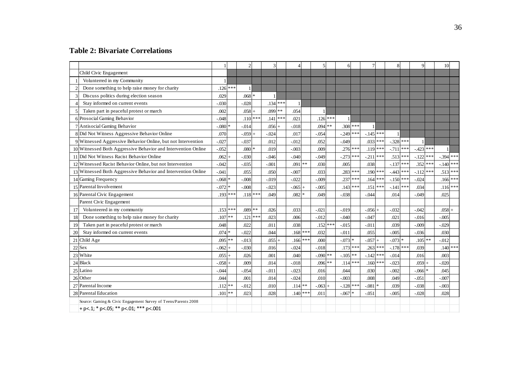### **Table 2: Bivariate Correlations**

|                                                                |                    | $\overline{c}$         |               | $\overline{4}$     |               | 6              | 7             | 8              | q              | 10         |
|----------------------------------------------------------------|--------------------|------------------------|---------------|--------------------|---------------|----------------|---------------|----------------|----------------|------------|
| Child Civic Engagement                                         |                    |                        |               |                    |               |                |               |                |                |            |
| Volunterred in my Community                                    |                    |                        |               |                    |               |                |               |                |                |            |
| Done something to help raise money for charity                 | ***<br>.126        |                        |               |                    |               |                |               |                |                |            |
| Discuss politics during election season                        | .029               | .068<br>$\ast$         |               |                    |               |                |               |                |                |            |
| Stay informed on current events                                | $-0.030$           | $-0.028$               | $.134***$     | $\mathbf{1}$       |               |                |               |                |                |            |
| Taken part in peaceful protest or march                        | .002               | .058<br>$\ddot{}$      | $.099$ **     | .054               |               |                |               |                |                |            |
| 6 Prosocial Gaming Behavior                                    | $-.048$            | ***<br>.110            | $***$<br>.141 | .021               | ***<br>.126   |                |               |                |                |            |
| Antisocial Gaming Behavior                                     | $-.080$            | $-0.014$               | .056          | $-0.018$           | $.094$ **     | $.308$ ***     |               |                |                |            |
| 8 Did Not Witness Aggressive Behavior Online                   | .070               | $-0.059$<br>$\ddot{+}$ | $-0.024$      | .017               | $-.054$       | $-0.249$       | $-145$ ***    |                |                |            |
| 9 Witnessed Aggressive Behavior Online, but not Intervention   | $-027$             | $-.037$                | .012          | $-.012$            | .052          | $-.049$        | $.033$ ***    | $-.328$ ***    |                |            |
| 10 Witnessed Both Aggressive Behavior and Intervention Online  | $-0.052$           | .080                   | .019          | $-.003$            | .009          | .276<br>***    | .119          | ***<br>$-711$  | $-423$         |            |
| 11 Did Not Witness Racist Behavior Online                      | .062               | $-0.30$                | $-0.046$      | $-.040$            | $-0.049$      | $-.273$<br>*** | $-211$<br>*** | $.513***$      | $-122$<br>***  | $-394$ *** |
| 12 Witnessed Racist Behavior Online, but not Intervention      | $-0.042$           | $-035$                 | $-.001$       | .091<br>$**$       | .030          | .005           | .038          | ***<br>$-.137$ | .352           | $-140$ *** |
| 13 Witnessed Both Aggressive Behavior and Intervention Online  | $-.041$            | .055                   | .050          | $-.007$            | .033          | $.283$ ***     | $.190$ ***    | $-443$ ***     | $-.112$<br>*** | $.513$ *** |
| 14 Gaming Frequency                                            | $-.068$            | $-.008$                | $-.019$       | $-0.022$           | $-0.009$      | .237           | .164          | $-150$ ***     | $-.024$        | $.166$ *** |
| 15 Parental Involvement                                        | $-.072$            | $-.008$                | $-.023$       | $-0.065$           | $-0.005$      | $.143$ ***     | .151<br>***   | ***<br>$-.141$ | .034           | $.116$ *** |
| 16 Parental Civic Engagement                                   | ***<br>.193        | ***<br>.118            | .049          | .082               | .049          | $-.038$        | $-0.044$      | .014           | $-.049$        | .025       |
| Parent Civic Engagement                                        |                    |                        |               |                    |               |                |               |                |                |            |
| Volunteered in my communtiy<br>17                              | .153<br>***        | .089<br>**             | .026          | .033               | $-0.021$      | $-0.019$       | $-0.056 +$    | $-0.032$       | $-.042$        | .058       |
| Done something to help raise money for charity<br>18           | $**$<br>.107       | ***<br>.121            | .023          | .006               | $-0.012$      | $-.040$        | $-.047$       | .021           | $-0.016$       | $-.005$    |
| Taken part in peaceful protest or march<br>19                  | .048               | .022                   | .011          | .038               | ***<br>.152   | $-.015$        | $-.011$       | .039           | $-.009$        | $-.029$    |
| Stay informed on current events<br>20                          | $.074*$            | $-.022$                | .044          | ***<br>.168        | .032          | $-.011$        | .055          | $-.005$        | $-.036$        | .030       |
| 21 Child Age                                                   | **<br>.095         | $-0.013$               | .055          | ***<br>.166        | .000          | $-.073$        | $-057$        | $-073$         | .105           | $-0.012$   |
| 22 Sex                                                         | $-062$             | $-.030$                | .016          | $-0.024$           | $-018$        | $.173$ ***     | .263          | $-178$ ***     | .039           | $.140$ *** |
| 23 White                                                       | .055               | .026                   | .001          | .040               | $-.090$<br>** | $-.105$<br>**  | $-.142$       | $-.014$        | .016           | .003       |
| 24 Black                                                       | $-.058$            | .009                   | .014          | $-.018$            | $.096**$      | $.114***$      | $.160$ ***    | $-.023$        | .059           | $-.020$    |
| 25 Latino                                                      | $-0.044$           | $-0.54$                | $-.011$       | $-.023$            | .016          | .044           | .030          | $-0.002$       | $-0.066$       | .045       |
| 26 Other                                                       | .044               | .001                   | .014          | $-.024$            | .010          | $-.003$        | .008          | .049           | $-.051$        | $-.007$    |
| 27 Parental Income                                             | **<br>.112         | $-012$                 | .010          | .114<br>$\ast\ast$ | $-.063 +$     | $-128$ ***     | $-.081$       | .039           | $-.038$        | $-.003$    |
| 28 Parental Education                                          | $\ast\ast$<br>.101 | .023                   | .028          | $.140$ ***         | .011          | $-.067$ *      | $-.051$       | $-.005$        | $-.028$        | .028       |
| Source: Gaming & Civic Engagement Survey of Teens/Parents 2008 |                    |                        |               |                    |               |                |               |                |                |            |
| + p <. 1; * p <. 05; ** p <. 01; *** p <. 001                  |                    |                        |               |                    |               |                |               |                |                |            |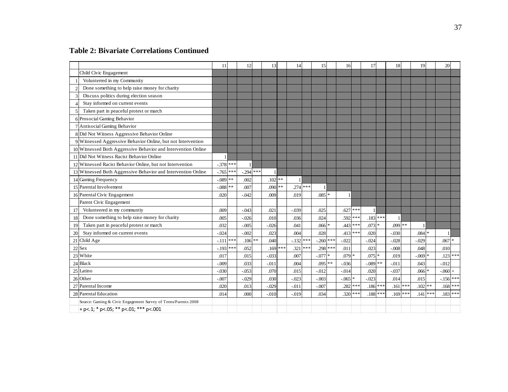### **Table 2: Bivariate Correlations Continued**

|                                                                | 11         |       | 12      |      | 13         | 14       |     | 15         |        | 16       |     | 17       |            | 18        |         | 19       |            | 20         |            |
|----------------------------------------------------------------|------------|-------|---------|------|------------|----------|-----|------------|--------|----------|-----|----------|------------|-----------|---------|----------|------------|------------|------------|
| Child Civic Engagement                                         |            |       |         |      |            |          |     |            |        |          |     |          |            |           |         |          |            |            |            |
| Volunterred in my Community                                    |            |       |         |      |            |          |     |            |        |          |     |          |            |           |         |          |            |            |            |
| Done something to help raise money for charity                 |            |       |         |      |            |          |     |            |        |          |     |          |            |           |         |          |            |            |            |
| Discuss politics during election season                        |            |       |         |      |            |          |     |            |        |          |     |          |            |           |         |          |            |            |            |
| Stay informed on current events                                |            |       |         |      |            |          |     |            |        |          |     |          |            |           |         |          |            |            |            |
| Taken part in peaceful protest or march<br>5                   |            |       |         |      |            |          |     |            |        |          |     |          |            |           |         |          |            |            |            |
| 6 Prosocial Gaming Behavior                                    |            |       |         |      |            |          |     |            |        |          |     |          |            |           |         |          |            |            |            |
| 7 Antisocial Gaming Behavior                                   |            |       |         |      |            |          |     |            |        |          |     |          |            |           |         |          |            |            |            |
| 8 Did Not Witness Aggressive Behavior Online                   |            |       |         |      |            |          |     |            |        |          |     |          |            |           |         |          |            |            |            |
| 9 Witnessed Aggressive Behavior Online, but not Intervention   |            |       |         |      |            |          |     |            |        |          |     |          |            |           |         |          |            |            |            |
| 10 Witnessed Both Aggressive Behavior and Intervention Online  |            |       |         |      |            |          |     |            |        |          |     |          |            |           |         |          |            |            |            |
| 11 Did Not Witness Racist Behavior Online                      |            |       |         |      |            |          |     |            |        |          |     |          |            |           |         |          |            |            |            |
| 12 Witnessed Racist Behavior Online, but not Intervention      | $-378$ *** |       |         |      |            |          |     |            |        |          |     |          |            |           |         |          |            |            |            |
| 13 Witnessed Both Aggressive Behavior and Intervention Online  | $-765$     | $***$ | .294    | ***  |            |          |     |            |        |          |     |          |            |           |         |          |            |            |            |
| 14 Gaming Frequency                                            | $-.089$ ** |       | .002    |      | $.102$ **  |          |     |            |        |          |     |          |            |           |         |          |            |            |            |
| 15 Parental Involvement                                        | $-.088$ ** |       | .007    |      | $.090$ **  | .274     | *** |            |        |          |     |          |            |           |         |          |            |            |            |
| 16 Parental Civic Engagement                                   | .020       |       | $-.042$ |      | .009       | .019     |     | $.085*$    |        |          |     |          |            |           |         |          |            |            |            |
| Parent Civic Engagement                                        |            |       |         |      |            |          |     |            |        |          |     |          |            |           |         |          |            |            |            |
| Volunteered in my communtiy<br>17                              | .009       |       | $-.043$ |      | .021       | $-.039$  |     | .025       |        | .627     | *** |          |            |           |         |          |            |            |            |
| Done something to help raise money for charity<br>18           | .005       |       | $-.026$ |      | .010       | .036     |     | .024       |        | .592     | *** |          | $.183***$  |           |         |          |            |            |            |
| Taken part in peaceful protest or march<br>19                  | .032       |       | $-.005$ |      | $-0.026$   | .041     |     | $.066*$    |        | .443     | *** | $.073*$  |            | $.099$ ** |         |          |            |            |            |
| Stay informed on current events<br>20                          | $-.024$    |       | $-.002$ |      | .023       | .004     |     | .028       |        | .413     | *** | .020     |            | $-.030$   |         | .084     | $\ast$     |            |            |
| 21 Child Age                                                   | $-.111$    | ***   | .106    | $**$ | .040       | $-.132$  |     | $-260$ *** |        | $-0.022$ |     | $-0.024$ |            | $-.028$   |         | $-.029$  |            | $.067$ *   |            |
| 22 Sex                                                         | $-.193$    | ***   | .052    |      | $.169$ *** | .321     |     | $.298$ *** |        | .011     |     | .023     |            | $-.008$   |         | .048     |            | .010       |            |
| 23 White                                                       | .017       |       | .015    |      | $-.033$    | .007     |     | $-.077$    | $\ast$ | $.079*$  |     | $.075*$  |            | .019      |         | $-0.069$ |            |            | $.123$ *** |
| 24 Black                                                       | $-.009$    |       | .033    |      | $-011$     | .004     |     | $.095$ **  |        | $-.036$  |     | $-.089$  | $**$       | $-0.011$  |         | .043     |            | $-.012$    |            |
| 25 Latino                                                      | $-0.30$    |       | $-.053$ |      | .070       | .015     |     | $-012$     |        | $-0.014$ |     | .020     |            | $-0.037$  |         | .066     |            | $-.060$    |            |
| 26 Other                                                       | $-.007$    |       | $-.029$ |      | .030       | $-0.023$ |     | $-.003$    |        | $-0.065$ | ÷   | $-.023$  |            | .014      |         | .015     |            | $-156$ *** |            |
| 27 Parental Income                                             | .020       |       | .013    |      | $-029$     | $-0.011$ |     | $-0.007$   |        | .282     | *** |          | $.186***$  | .161      | $* * *$ | .102     | $\ast\ast$ |            | $.168$ *** |
| 28 Parental Education                                          | .014       |       | .000    |      | $-.010$    | $-.019$  |     | .034       |        | .320     | *** |          | $.188$ *** | $.169***$ |         | .141     | ***        |            | $.183$ *** |
| Source: Gaming & Civic Engagement Survey of Teens/Parents 2008 |            |       |         |      |            |          |     |            |        |          |     |          |            |           |         |          |            |            |            |
| + p <. 1; * p <. 05; ** p <. 01; *** p <. 001                  |            |       |         |      |            |          |     |            |        |          |     |          |            |           |         |          |            |            |            |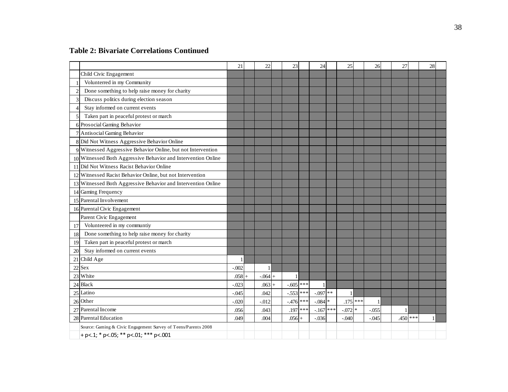### **Table 2: Bivariate Correlations Continued**

|                                                                | 21      |       | 22        | 23          |     | 24               | 25           |        | 26           | 27         | 28 |  |
|----------------------------------------------------------------|---------|-------|-----------|-------------|-----|------------------|--------------|--------|--------------|------------|----|--|
| Child Civic Engagement                                         |         |       |           |             |     |                  |              |        |              |            |    |  |
| Volunterred in my Community                                    |         |       |           |             |     |                  |              |        |              |            |    |  |
| Done something to help raise money for charity                 |         |       |           |             |     |                  |              |        |              |            |    |  |
| Discuss politics during election season                        |         |       |           |             |     |                  |              |        |              |            |    |  |
| Stay informed on current events<br>4                           |         |       |           |             |     |                  |              |        |              |            |    |  |
| Taken part in peaceful protest or march                        |         |       |           |             |     |                  |              |        |              |            |    |  |
| 6 Prosocial Gaming Behavior                                    |         |       |           |             |     |                  |              |        |              |            |    |  |
| 7 Antisocial Gaming Behavior                                   |         |       |           |             |     |                  |              |        |              |            |    |  |
| 8 Did Not Witness Aggressive Behavior Online                   |         |       |           |             |     |                  |              |        |              |            |    |  |
| 9 Witnessed Aggressive Behavior Online, but not Intervention   |         |       |           |             |     |                  |              |        |              |            |    |  |
| 10 Witnessed Both Aggressive Behavior and Intervention Online  |         |       |           |             |     |                  |              |        |              |            |    |  |
| 11 Did Not Witness Racist Behavior Online                      |         |       |           |             |     |                  |              |        |              |            |    |  |
| 12 Witnessed Racist Behavior Online, but not Intervention      |         |       |           |             |     |                  |              |        |              |            |    |  |
| 13 Witnessed Both Aggressive Behavior and Intervention Online  |         |       |           |             |     |                  |              |        |              |            |    |  |
| 14 Gaming Frequency                                            |         |       |           |             |     |                  |              |        |              |            |    |  |
| 15 Parental Involvement                                        |         |       |           |             |     |                  |              |        |              |            |    |  |
| 16 Parental Civic Engagement                                   |         |       |           |             |     |                  |              |        |              |            |    |  |
| Parent Civic Engagement                                        |         |       |           |             |     |                  |              |        |              |            |    |  |
| Volunteered in my communtiy<br>17                              |         |       |           |             |     |                  |              |        |              |            |    |  |
| Done something to help raise money for charity<br>18           |         |       |           |             |     |                  |              |        |              |            |    |  |
| Taken part in peaceful protest or march<br>19                  |         |       |           |             |     |                  |              |        |              |            |    |  |
| Stay informed on current events<br>20                          |         |       |           |             |     |                  |              |        |              |            |    |  |
| Child Age<br>21                                                | 1       |       |           |             |     |                  |              |        |              |            |    |  |
| Sex<br>22                                                      | $-.002$ |       |           |             |     |                  |              |        |              |            |    |  |
| White<br>23                                                    | .058    | $\pm$ | $-.064 +$ |             |     |                  |              |        |              |            |    |  |
| <b>Black</b><br>24                                             | $-.023$ |       | $.063 +$  | $-.605$ *** |     | $\mathbf{1}$     |              |        |              |            |    |  |
| Latino<br>25                                                   | $-.045$ |       | .042      | $-0.553$    | *** | $-.097$ **       | $\mathbf{1}$ |        |              |            |    |  |
| 26 Other                                                       | $-.020$ |       | $-0.012$  | $-476$ ***  |     | $-084$ $^{\ast}$ | $.175$ ***   |        | $\mathbf{1}$ |            |    |  |
| Parental Income<br>27                                          | .056    |       | .043      | $.197$ ***  |     | $-.167$ ***      | $-.072$      | $\ast$ | $-0.055$     |            |    |  |
| 28 Parental Education                                          | .049    |       | .004      | $.056 +$    |     | $-.036$          | $-.040$      |        | $-.045$      | $.450$ *** | 1  |  |
| Source: Gaming & Civic Engagement Survey of Teens/Parents 2008 |         |       |           |             |     |                  |              |        |              |            |    |  |
| + p <. 1; * p <. 05; ** p <. 01; *** p <. 001                  |         |       |           |             |     |                  |              |        |              |            |    |  |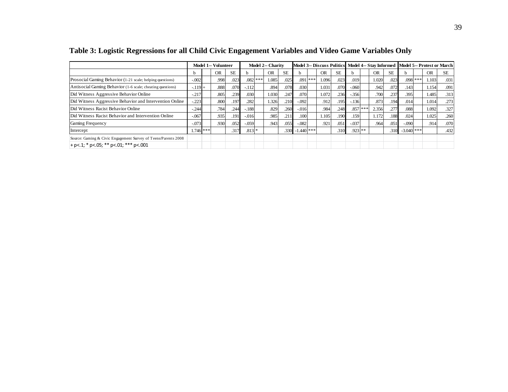|                                                                |          |             | Model 1-- Volunteer |           |              |            | <b>Model 2-- Charity</b> |           |                    |           | Model 3-- Discuss Politics |           |           |     |           |      |              |           | Model 4-- Stay Informed Model 5-- Protest or March |
|----------------------------------------------------------------|----------|-------------|---------------------|-----------|--------------|------------|--------------------------|-----------|--------------------|-----------|----------------------------|-----------|-----------|-----|-----------|------|--------------|-----------|----------------------------------------------------|
|                                                                | h        |             | <b>OR</b>           | <b>SE</b> | <sub>h</sub> |            | <b>OR</b>                | <b>SE</b> |                    |           | <b>OR</b>                  | <b>SE</b> | h.        |     | <b>OR</b> | SE.  |              | <b>OR</b> | <b>SE</b>                                          |
| Prosocial Gaming Behavior (1-21 scale; helping questions)      | $-.002$  |             | .998                | .023      |              | $.082$ *** | 1.085                    | .025      |                    | $.091***$ | 1.096                      | .023      | .019      |     | 1.020     | .023 | .098         | 1.103     | .031                                               |
| Antisocial Gaming Behavior (1-6 scale; cheating questions)     | $-.119+$ |             | .888                | .070      | $-112$       |            | .894                     | .078      | .030               |           | 1.031                      | .070      | $-.060$   |     | .942      | .072 | .143         | 1.154     | .091                                               |
| Did Witness Aggressive Behavior Online                         | $-.217$  |             | .805                | .239      | .030         |            | 1.030                    | .247      | .070               |           | 1.072                      | .236      | $-.356$   |     | .700      | .237 | .395         | 1.485     | .313                                               |
| Did Witness Aggressive Behavior and Intervention Online        | $-.223$  |             | .800                | .197      | .282         |            | 1.326                    | .210      | $-.092$            |           | .912                       | .195      | $-136$    |     | .873      | .194 | .014         | 1.014     | .273                                               |
| Did Witness Racist Behavior Online                             | $-.244$  |             | .784                | .244      | $-.188$      |            | .829                     | .260      | $-0.016$           |           | .984                       | .248      | .857      | **: | 2.356     | .277 | .088         | 1.092     | .327                                               |
| Did Witness Racist Behavior and Intervention Online            | $-.067$  |             | .935                | .191      | $-.016$      |            | .985                     | .211      | .100               |           | 1.105                      | .190      | .159      |     | 1.172     | .188 | .024         | 1.025     | .260                                               |
| Gaming Frequency                                               | $-.073$  |             | .930                | .052      | $-.059$      |            | .943                     | .055      | $-.082$            |           | .921                       | .051      | $-.037$   |     | .964      | .051 | $-.090$      | .914      | .070                                               |
| Intercept                                                      |          | $1.746$ *** |                     | .317      | $.813*$      |            |                          |           | $.330 - 1.440$ *** |           |                            | .310      | $.923$ ** |     |           | .310 | $-3.040$ *** |           | .432                                               |
| Source: Gaming & Civic Engagement Survey of Teens/Parents 2008 |          |             |                     |           |              |            |                          |           |                    |           |                            |           |           |     |           |      |              |           |                                                    |
| $+$ p<.1; * p<.05; ** p<.01; *** p<.001                        |          |             |                     |           |              |            |                          |           |                    |           |                            |           |           |     |           |      |              |           |                                                    |

**Table 3: Logistic Regressions for all Child Civic Engagement Variables and Video Game Variables Only**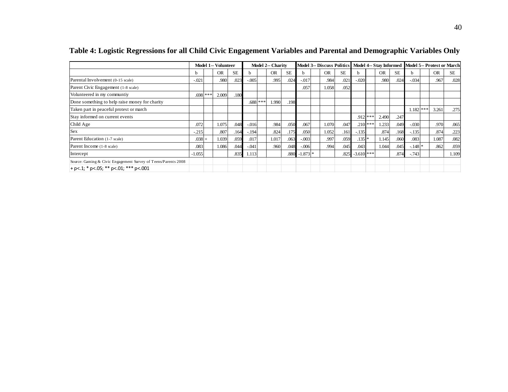|                                                                |              | Model 1-- Volunteer |           |          |            | <b>Model 2-- Charity</b> |           |            |           |           |                    |            |           |           |          |            |           | Model 3-- Discuss Politics   Model 4-- Stay Informed   Model 5-- Protest or March |
|----------------------------------------------------------------|--------------|---------------------|-----------|----------|------------|--------------------------|-----------|------------|-----------|-----------|--------------------|------------|-----------|-----------|----------|------------|-----------|-----------------------------------------------------------------------------------|
|                                                                | <sub>b</sub> | <b>OR</b>           | <b>SE</b> |          |            | <b>OR</b>                | <b>SE</b> |            | <b>OR</b> | <b>SE</b> | <sub>b</sub>       |            | <b>OR</b> | <b>SE</b> | h        |            | <b>OR</b> | <b>SE</b>                                                                         |
| Parental Involvement (0-15 scale)                              | $-.021$      | .980                | .023      | $-.005$  |            | .995                     | .024      | $-0.017$   | .984      | .021      | $-.020$            |            | .980      | .024      | $-.034$  |            | .967      | .028                                                                              |
| Parent Civic Engagement (1-8 scale)                            |              |                     |           |          |            |                          |           | .057       | 1.058     | .052      |                    |            |           |           |          |            |           |                                                                                   |
| Volunteered in my communtiy                                    | $.698***$    | 2.009               | .180      |          |            |                          |           |            |           |           |                    |            |           |           |          |            |           |                                                                                   |
| Done something to help raise money for charity                 |              |                     |           |          | $.688$ *** | 1.990                    | .198      |            |           |           |                    |            |           |           |          |            |           |                                                                                   |
| Taken part in peaceful protest or march                        |              |                     |           |          |            |                          |           |            |           |           |                    |            |           |           |          | $.182$ *** | 3.261     | .275                                                                              |
| Stay informed on current events                                |              |                     |           |          |            |                          |           |            |           |           |                    | $.912$ *** | 2.490     | .247      |          |            |           |                                                                                   |
| Child Age                                                      | .072         | 1.075               | .048      | $-0.016$ |            | .984                     | .050      | .067       | 1.070     | .047      |                    | $.210$ *** | 1.233     | .049      | $-.030$  |            | .970      | .065                                                                              |
| <b>Sex</b>                                                     | $-.215$      | .807                | .164      | $-194$   |            | .824                     | .175      | .050       | 1.052     | .161      | $-.135$            |            | .874      | .168      | $-.135$  |            | .874      | .223                                                                              |
| Parent Education (1-7 scale)                                   | $.038 +$     | 1.039               | .059      | .017     |            | 1.017                    | .063      | $-.003$    | .997      | .059      | $.135$ *           |            | 1.145     | .060      | .083     |            | 1.087     | .082                                                                              |
| Parent Income (1-8 scale)                                      | .083         | 1.086               | .044      | $-.041$  |            | .960                     | .048      | $-.006$    | .994      | .045      | .043               |            | 1.044     | .045      | $-.148*$ |            | .862      | .059                                                                              |
| Intercept                                                      | $-1.055$     |                     | .835      | 1.113    |            |                          | .880      | $-1.873$ * |           |           | $.825 - 3.610$ *** |            |           | .874      | $-.743$  |            |           | 1.109                                                                             |
| Source: Gaming & Civic Engagement Survey of Teens/Parents 2008 |              |                     |           |          |            |                          |           |            |           |           |                    |            |           |           |          |            |           |                                                                                   |
| $+$ p<.1; * p<.05; ** p<.01; *** p<.001                        |              |                     |           |          |            |                          |           |            |           |           |                    |            |           |           |          |            |           |                                                                                   |

**Table 4: Logistic Regressions for all Child Civic Engagement Variables and Parental and Demographic Variables Only**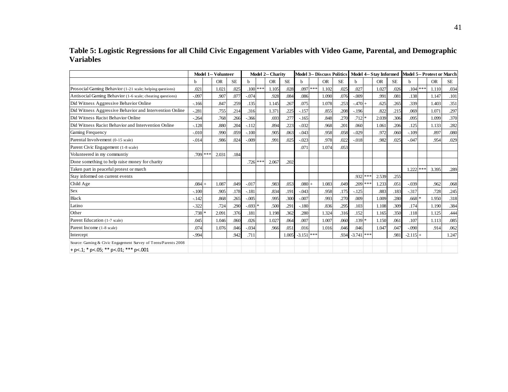**Table 5: Logistic Regressions for all Child Civic Engagement Variables with Video Game, Parental, and Demographic Variables**

|                                                                |          |     | <b>Model 1-- Volunteer</b> |           |            | Model 2-- Charity |           |          |     | <b>Model 3-- Discuss Politics</b> |           |          |        | Model 4-- Stay Informed |           |          |     | <b>Model 5-- Protest or March</b> |           |
|----------------------------------------------------------------|----------|-----|----------------------------|-----------|------------|-------------------|-----------|----------|-----|-----------------------------------|-----------|----------|--------|-------------------------|-----------|----------|-----|-----------------------------------|-----------|
|                                                                | h        |     | <b>OR</b>                  | <b>SE</b> | h          | <b>OR</b>         | <b>SE</b> | b        |     | <b>OR</b>                         | <b>SE</b> | h        |        | <b>OR</b>               | <b>SE</b> | h        |     | <b>OR</b>                         | <b>SE</b> |
| Prosocial Gaming Behavior (1-21 scale; helping questions)      | .021     |     | 1.021                      | .025      | $.100***$  | 1.105             | .028      | .097     | *** | 1.102                             | .025      | .027     |        | 1.027                   | .026      | .104     | *** | 1.110                             | .034      |
| Antisocial Gaming Behavior (1-6 scale; cheating questions)     | $-.097$  |     | .907                       | .077      | $-.074$    | .928              | .084      | .086     |     | 1.090                             | .076      | $-0.009$ |        | .991                    | .081      | .138     |     | 1.147                             | .101      |
| Did Witness Aggressive Behavior Online                         | $-.166$  |     | .847                       | .259      | .135       | 1.145             | .267      | .075     |     | 1.078                             | .253      | $-.470$  |        | .625                    | .265      | .339     |     | 1.403                             | .351      |
| Did Witness Aggressive Behavior and Intervention Online        | $-0.281$ |     | .755                       | .214      | .316       | 1.371             | .225      | $-.157$  |     | .855                              | .208      | $-.196$  |        | .822                    | .215      | .069     |     | 1.071                             | .297      |
| Did Witness Racist Behavior Online                             | $-.264$  |     | .768                       | .266      | $-0.366$   | .693              | .277      | $-.165$  |     | .848                              | .270      | .712     | $\ast$ | 2.039                   | .306      | .095     |     | 1.099                             | .370      |
| Did Witness Racist Behavior and Intervention Online            | $-.128$  |     | .880                       | .204      | $-.112$    | .894              | .223      | $-.032$  |     | .968                              | .201      | .060     |        | 1.061                   | .206      | .125     |     | 1.133                             | .282      |
| Gaming Frequency                                               | $-.010$  |     | .990                       | .059      | $-.100$    | .905              | .063      | $-.043$  |     | .958                              | .058      | $-.029$  |        | .972                    | .060      | $-.109$  |     | .897                              | .080      |
| Parental Involvement (0-15 scale)                              | $-.014$  |     | .986                       | .024      | $-.009$    | .991              | .025      | $-0.023$ |     | .978                              | .022      | $-.018$  |        | .982                    | .025      | $-.047$  |     | .954                              | .029      |
| Parent Civic Engagement (1-8 scale)                            |          |     |                            |           |            |                   |           | .071     |     | 1.074                             | .053      |          |        |                         |           |          |     |                                   |           |
| Volunteered in my communtiy                                    | .709     | *** | 2.031                      | .184      |            |                   |           |          |     |                                   |           |          |        |                         |           |          |     |                                   |           |
| Done something to help raise money for charity                 |          |     |                            |           | $.726$ *** | 2.067             | .202      |          |     |                                   |           |          |        |                         |           |          |     |                                   |           |
| Taken part in peaceful protest or march                        |          |     |                            |           |            |                   |           |          |     |                                   |           |          |        |                         |           | 1.222    | *** | 3.395                             | .289      |
| Stay informed on current events                                |          |     |                            |           |            |                   |           |          |     |                                   |           | .932     | **     | 2.539                   | .255      |          |     |                                   |           |
| Child Age                                                      | $.084 +$ |     | 1.087                      | .049      | $-0.017$   | .983              | .053      | $.080 +$ |     | 1.083                             | .049      | .209     | **:    | .233                    | .051      | $-.039$  |     | .962                              | .068      |
| Sex                                                            | $-.100$  |     | .905                       | .178      | $-181$     | .834              | .191      | $-.043$  |     | .958                              | .175      | $-.125$  |        | .883                    | .183      | $-317$   |     | .728                              | .245      |
| <b>Black</b>                                                   | $-.142$  |     | .868                       | .265      | $-.005$    | .995              | .300      | $-.007$  |     | .993                              | .270      | .009     |        | 1.009                   | .280      | .668     |     | 1.950                             | .318      |
| Latino                                                         | $-.322$  |     | .724                       | .290      | $-.693*$   | .500              | .291      | $-.180$  |     | .836                              | .295      | .103     |        | 1.108                   | .309      | .174     |     | 1.190                             | .384      |
| Other                                                          | $.738*$  |     | 2.091                      | 376       | .181       | 1.198             | .362      | .280     |     | 1.324                             | .316      | .152     |        | 1.165                   | .350      | .118     |     | 1.125                             | .444      |
| Parent Education (1-7 scale)                                   | .045     |     | 1.046                      | .060      | .026       | 1.027             | .064      | .007     |     | 1.007                             | .060      | .139     |        | 1.150                   | .061      | .107     |     | 1.113                             | .085      |
| Parent Income (1-8 scale)                                      | .074     |     | 1.076                      | .046      | $-.034$    | .966              | .051      | .016     |     | 1.016                             | .046      | .046     |        | 1.047                   | .047      | $-.090$  |     | .914                              | .062      |
| Intercept                                                      | $-0.994$ |     |                            | .942      | .711       |                   | 1.005     | $-3.151$ | *** |                                   | .934      | $-3.741$ | ***    |                         | .981      | $-2.115$ |     |                                   | 1.247     |
| Source: Gaming & Civic Engagement Survey of Teens/Parents 2008 |          |     |                            |           |            |                   |           |          |     |                                   |           |          |        |                         |           |          |     |                                   |           |
| $+$ p<.1; * p<.05; ** p<.01; *** p<.001                        |          |     |                            |           |            |                   |           |          |     |                                   |           |          |        |                         |           |          |     |                                   |           |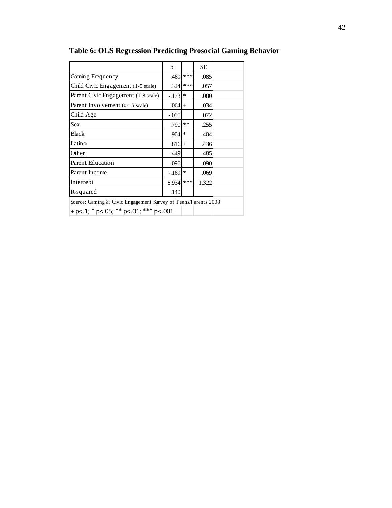|                                                                | b        |        | <b>SE</b> |  |
|----------------------------------------------------------------|----------|--------|-----------|--|
| Gaming Frequency                                               | .469     | ***    | .085      |  |
| Child Civic Engagement (1-5 scale)                             | .324     | ***    | .057      |  |
| Parent Civic Engagement (1-8 scale)                            | $-.173$  | $\ast$ | .080      |  |
| Parent Involvement (0-15 scale)                                | $.064 +$ |        | .034      |  |
| Child Age                                                      | $-.095$  |        | .072      |  |
| <b>Sex</b>                                                     | .790     | **     | .255      |  |
| <b>Black</b>                                                   | .904     | $\ast$ | .404      |  |
| Latino                                                         | $.816+$  |        | .436      |  |
| Other                                                          | $-.449$  |        | .485      |  |
| <b>Parent Education</b>                                        | $-.096$  |        | .090      |  |
| Parent Income                                                  | $-.169$  | $\ast$ | .069      |  |
| Intercept                                                      | 8.934    | ***    | 1.322     |  |
| R-squared                                                      | .140     |        |           |  |
| Source: Gaming & Civic Engagement Survey of Teens/Parents 2008 |          |        |           |  |
| + p <. 1; * p <. 05; ** p <. 01; *** p <. 001                  |          |        |           |  |

**Table 6: OLS Regression Predicting Prosocial Gaming Behavior**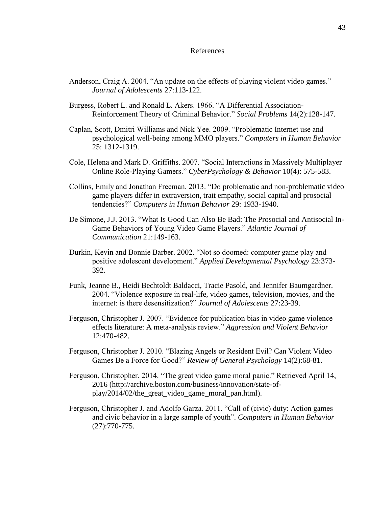#### References

- Anderson, Craig A. 2004. "An update on the effects of playing violent video games." *Journal of Adolescents* 27:113-122.
- Burgess, Robert L. and Ronald L. Akers. 1966. "A Differential Association-Reinforcement Theory of Criminal Behavior." *Social Problems* 14(2):128-147.
- Caplan, Scott, Dmitri Williams and Nick Yee. 2009. "Problematic Internet use and psychological well-being among MMO players." *Computers in Human Behavior* 25: 1312-1319.
- Cole, Helena and Mark D. Griffiths. 2007. "Social Interactions in Massively Multiplayer Online Role-Playing Gamers." *CyberPsychology & Behavior* 10(4): 575-583.
- Collins, Emily and Jonathan Freeman. 2013. "Do problematic and non-problematic video game players differ in extraversion, trait empathy, social capital and prosocial tendencies?" *Computers in Human Behavior* 29: 1933-1940.
- De Simone, J.J. 2013. "What Is Good Can Also Be Bad: The Prosocial and Antisocial In-Game Behaviors of Young Video Game Players." *Atlantic Journal of Communication* 21:149-163.
- Durkin, Kevin and Bonnie Barber. 2002. "Not so doomed: computer game play and positive adolescent development." *Applied Developmental Psychology* 23:373- 392.
- Funk, Jeanne B., Heidi Bechtoldt Baldacci, Tracie Pasold, and Jennifer Baumgardner. 2004. "Violence exposure in real-life, video games, television, movies, and the internet: is there desensitization?" *Journal of Adolescents* 27:23-39.
- Ferguson, Christopher J. 2007. "Evidence for publication bias in video game violence effects literature: A meta-analysis review." *Aggression and Violent Behavior* 12:470-482.
- Ferguson, Christopher J. 2010. "Blazing Angels or Resident Evil? Can Violent Video Games Be a Force for Good?" *Review of General Psychology* 14(2):68-81.
- Ferguson, Christopher. 2014. "The great video game moral panic." Retrieved April 14, 2016 (http://archive.boston.com/business/innovation/state-ofplay/2014/02/the\_great\_video\_game\_moral\_pan.html).
- Ferguson, Christopher J. and Adolfo Garza. 2011. "Call of (civic) duty: Action games and civic behavior in a large sample of youth". *Computers in Human Behavior* (27):770-775.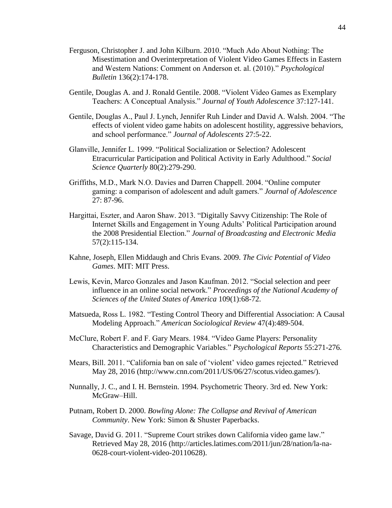- Ferguson, Christopher J. and John Kilburn. 2010. "Much Ado About Nothing: The Misestimation and Overinterpretation of Violent Video Games Effects in Eastern and Western Nations: Comment on Anderson et. al. (2010)." *Psychological Bulletin* 136(2):174-178.
- Gentile, Douglas A. and J. Ronald Gentile. 2008. "Violent Video Games as Exemplary Teachers: A Conceptual Analysis." *Journal of Youth Adolescence* 37:127-141.
- Gentile, Douglas A., Paul J. Lynch, Jennifer Ruh Linder and David A. Walsh. 2004. "The effects of violent video game habits on adolescent hostility, aggressive behaviors, and school performance." *Journal of Adolescents* 27:5-22.
- Glanville, Jennifer L. 1999. "Political Socialization or Selection? Adolescent Etracurricular Participation and Political Activity in Early Adulthood." *Social Science Quarterly* 80(2):279-290.
- Griffiths, M.D., Mark N.O. Davies and Darren Chappell. 2004. "Online computer gaming: a comparison of adolescent and adult gamers." *Journal of Adolescence* 27: 87-96.
- Hargittai, Eszter, and Aaron Shaw. 2013. "Digitally Savvy Citizenship: The Role of Internet Skills and Engagement in Young Adults' Political Participation around the 2008 Presidential Election." *Journal of Broadcasting and Electronic Media* 57(2):115-134.
- Kahne, Joseph, Ellen Middaugh and Chris Evans. 2009. *The Civic Potential of Video Games*. MIT: MIT Press.
- Lewis, Kevin, Marco Gonzales and Jason Kaufman. 2012. "Social selection and peer influence in an online social network." *Proceedings of the National Academy of Sciences of the United States of America* 109(1):68-72.
- Matsueda, Ross L. 1982. "Testing Control Theory and Differential Association: A Causal Modeling Approach." *American Sociological Review* 47(4):489-504.
- McClure, Robert F. and F. Gary Mears. 1984. "Video Game Players: Personality Characteristics and Demographic Variables." *Psychological Reports* 55:271-276.
- Mears, Bill. 2011. "California ban on sale of 'violent' video games rejected." Retrieved May 28, 2016 (http://www.cnn.com/2011/US/06/27/scotus.video.games/).
- Nunnally, J. C., and I. H. Bernstein. 1994. Psychometric Theory. 3rd ed. New York: McGraw–Hill.
- Putnam, Robert D. 2000. *Bowling Alone: The Collapse and Revival of American Community*. New York: Simon & Shuster Paperbacks.
- Savage, David G. 2011. "Supreme Court strikes down California video game law." Retrieved May 28, 2016 (http://articles.latimes.com/2011/jun/28/nation/la-na-0628-court-violent-video-20110628).